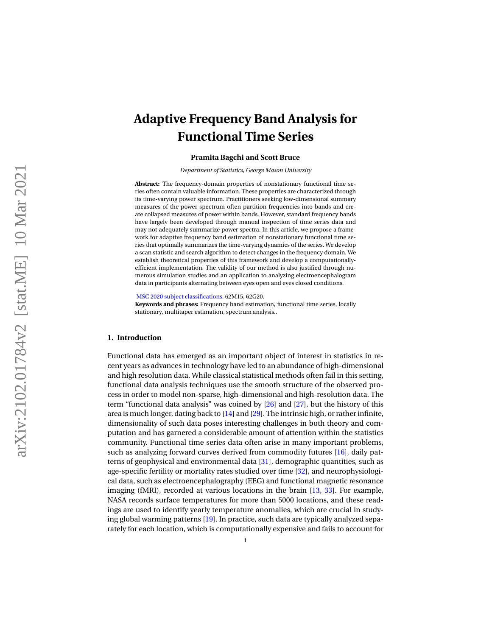# **Adaptive Frequency Band Analysis for Functional Time Series**

#### **Pramita Bagchi and Scott Bruce**

*Department of Statistics, George Mason University*

**Abstract:** The frequency-domain properties of nonstationary functional time series often contain valuable information. These properties are characterized through its time-varying power spectrum. Practitioners seeking low-dimensional summary measures of the power spectrum often partition frequencies into bands and create collapsed measures of power within bands. However, standard frequency bands have largely been developed through manual inspection of time series data and may not adequately summarize power spectra. In this article, we propose a framework for adaptive frequency band estimation of nonstationary functional time series that optimally summarizes the time-varying dynamics of the series. We develop a scan statistic and search algorithm to detect changes in the frequency domain. We establish theoretical properties of this framework and develop a computationallyefficient implementation. The validity of our method is also justified through numerous simulation studies and an application to analyzing electroencephalogram data in participants alternating between eyes open and eyes closed conditions.

[MSC 2020 subject classifications.](https://mathscinet.ams.org/mathscinet/msc/msc2020.html) 62M15, 62G20.

**Keywords and phrases:** Frequency band estimation, functional time series, locally stationary, multitaper estimation, spectrum analysis..

#### **1. Introduction**

Functional data has emerged as an important object of interest in statistics in recent years as advances in technology have led to an abundance of high-dimensional and high resolution data. While classical statistical methods often fail in this setting, functional data analysis techniques use the smooth structure of the observed process in order to model non-sparse, high-dimensional and high-resolution data. The term "functional data analysis" was coined by [\[26\]](#page-31-0) and [\[27\]](#page-31-1), but the history of this area is much longer, dating back to [\[14\]](#page-30-0) and [\[29\]](#page-31-2). The intrinsic high, or rather infinite, dimensionality of such data poses interesting challenges in both theory and computation and has garnered a considerable amount of attention within the statistics community. Functional time series data often arise in many important problems, such as analyzing forward curves derived from commodity futures [\[16\]](#page-31-3), daily patterns of geophysical and environmental data [\[31\]](#page-31-4), demographic quantities, such as age-specific fertility or mortality rates studied over time [\[32\]](#page-31-5), and neurophysiological data, such as electroencephalography (EEG) and functional magnetic resonance imaging (fMRI), recorded at various locations in the brain [\[13](#page-30-1) , [33\]](#page-31-6). For example, NASA records surface temperatures for more than 5000 locations, and these readings are used to identify yearly temperature anomalies, which are crucial in studying global warming patterns [\[19\]](#page-31-7). In practice, such data are typically analyzed separately for each location, which is computationally expensive and fails to account for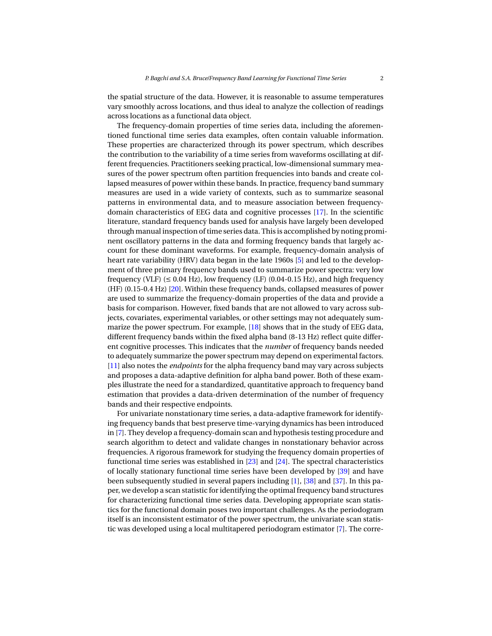the spatial structure of the data. However, it is reasonable to assume temperatures vary smoothly across locations, and thus ideal to analyze the collection of readings across locations as a functional data object.

The frequency-domain properties of time series data, including the aforementioned functional time series data examples, often contain valuable information. These properties are characterized through its power spectrum, which describes the contribution to the variability of a time series from waveforms oscillating at different frequencies. Practitioners seeking practical, low-dimensional summary measures of the power spectrum often partition frequencies into bands and create collapsed measures of power within these bands. In practice, frequency band summary measures are used in a wide variety of contexts, such as to summarize seasonal patterns in environmental data, and to measure association between frequencydomain characteristics of EEG data and cognitive processes [\[17\]](#page-31-8). In the scientific literature, standard frequency bands used for analysis have largely been developed through manual inspection of time series data. This is accomplished by noting prominent oscillatory patterns in the data and forming frequency bands that largely account for these dominant waveforms. For example, frequency-domain analysis of heart rate variability (HRV) data began in the late 1960s [\[5\]](#page-30-2) and led to the development of three primary frequency bands used to summarize power spectra: very low frequency (VLF) ( $\leq 0.04$  Hz), low frequency (LF) (0.04-0.15 Hz), and high frequency (HF) (0.15-0.4 Hz) [\[20\]](#page-31-9). Within these frequency bands, collapsed measures of power are used to summarize the frequency-domain properties of the data and provide a basis for comparison. However, fixed bands that are not allowed to vary across subjects, covariates, experimental variables, or other settings may not adequately summarize the power spectrum. For example, [\[18\]](#page-31-10) shows that in the study of EEG data, different frequency bands within the fixed alpha band (8-13 Hz) reflect quite different cognitive processes. This indicates that the *number* of frequency bands needed to adequately summarize the power spectrum may depend on experimental factors. [\[11\]](#page-30-3) also notes the *endpoints* for the alpha frequency band may vary across subjects and proposes a data-adaptive definition for alpha band power. Both of these examples illustrate the need for a standardized, quantitative approach to frequency band estimation that provides a data-driven determination of the number of frequency bands and their respective endpoints.

For univariate nonstationary time series, a data-adaptive framework for identifying frequency bands that best preserve time-varying dynamics has been introduced in [\[7\]](#page-30-4). They develop a frequency-domain scan and hypothesis testing procedure and search algorithm to detect and validate changes in nonstationary behavior across frequencies. A rigorous framework for studying the frequency domain properties of functional time series was established in [\[23\]](#page-31-11) and [\[24\]](#page-31-12). The spectral characteristics of locally stationary functional time series have been developed by [\[39\]](#page-32-0) and have been subsequently studied in several papers including [\[1\]](#page-30-5), [\[38\]](#page-32-1) and [\[37\]](#page-32-2). In this paper, we develop a scan statistic for identifying the optimal frequency band structures for characterizing functional time series data. Developing appropriate scan statistics for the functional domain poses two important challenges. As the periodogram itself is an inconsistent estimator of the power spectrum, the univariate scan statistic was developed using a local multitapered periodogram estimator [\[7\]](#page-30-4). The corre-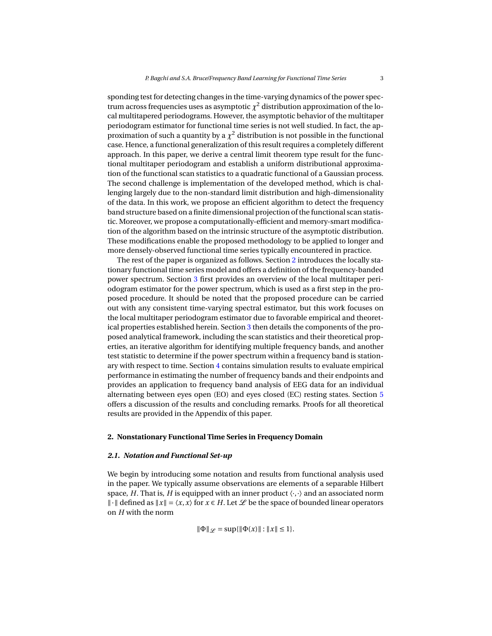sponding test for detecting changes in the time-varying dynamics of the power spectrum across frequencies uses as asymptotic  $\chi^2$  distribution approximation of the local multitapered periodograms. However, the asymptotic behavior of the multitaper periodogram estimator for functional time series is not well studied. In fact, the approximation of such a quantity by a  $\chi^2$  distribution is not possible in the functional case. Hence, a functional generalization of this result requires a completely different approach. In this paper, we derive a central limit theorem type result for the functional multitaper periodogram and establish a uniform distributional approximation of the functional scan statistics to a quadratic functional of a Gaussian process. The second challenge is implementation of the developed method, which is challenging largely due to the non-standard limit distribution and high-dimensionality of the data. In this work, we propose an efficient algorithm to detect the frequency band structure based on a finite dimensional projection of the functional scan statistic. Moreover, we propose a computationally-efficient and memory-smart modification of the algorithm based on the intrinsic structure of the asymptotic distribution. These modifications enable the proposed methodology to be applied to longer and more densely-observed functional time series typically encountered in practice.

The rest of the paper is organized as follows. Section [2](#page-2-0) introduces the locally stationary functional time series model and offers a definition of the frequency-banded power spectrum. Section [3](#page-5-0) first provides an overview of the local multitaper periodogram estimator for the power spectrum, which is used as a first step in the proposed procedure. It should be noted that the proposed procedure can be carried out with any consistent time-varying spectral estimator, but this work focuses on the local multitaper periodogram estimator due to favorable empirical and theoretical properties established herein. Section [3](#page-5-0) then details the components of the proposed analytical framework, including the scan statistics and their theoretical properties, an iterative algorithm for identifying multiple frequency bands, and another test statistic to determine if the power spectrum within a frequency band is stationary with respect to time. Section [4](#page-11-0) contains simulation results to evaluate empirical performance in estimating the number of frequency bands and their endpoints and provides an application to frequency band analysis of EEG data for an individual alternating between eyes open (EO) and eyes closed (EC) resting states. Section [5](#page-17-0) offers a discussion of the results and concluding remarks. Proofs for all theoretical results are provided in the Appendix of this paper.

# <span id="page-2-0"></span>**2. Nonstationary Functional Time Series in Frequency Domain**

#### *2.1. Notation and Functional Set-up*

We begin by introducing some notation and results from functional analysis used in the paper. We typically assume observations are elements of a separable Hilbert space, *H*. That is, *H* is equipped with an inner product  $\langle \cdot, \cdot \rangle$  and an associated norm *l* ∙ *l* defined as  $||x|| = \langle x, x \rangle$  for  $x \in H$ . Let  $\mathcal L$  be the space of bounded linear operators on *H* with the norm

 $\|\Phi\|_{\mathscr{L}} = \sup{\{\|\Phi(x)\| : \|x\| \leq 1\}}.$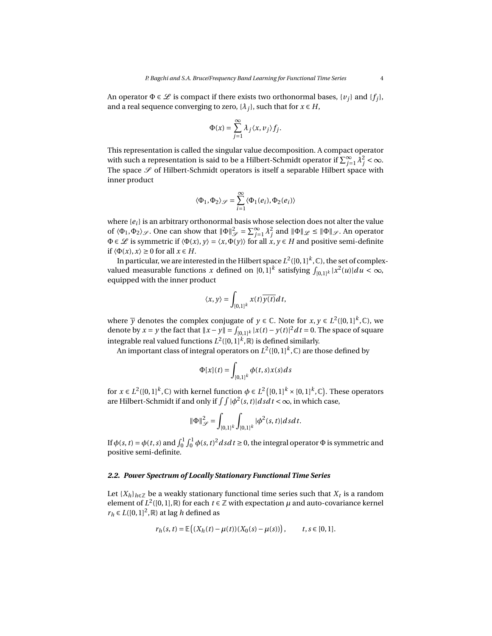An operator  $\Phi \in \mathcal{L}$  is compact if there exists two orthonormal bases,  $\{v_i\}$  and  $\{f_i\}$ , and a real sequence converging to zero,  $\{\lambda_i\}$ , such that for  $x \in H$ ,

$$
\Phi(x) = \sum_{j=1}^{\infty} \lambda_j \langle x, v_j \rangle f_j.
$$

This representation is called the singular value decomposition. A compact operator with such a representation is said to be a Hilbert-Schmidt operator if  $\sum_{j=1}^{\infty} \lambda_j^2 < \infty$ . The space  $\mathscr S$  of Hilbert-Schmidt operators is itself a separable Hilbert space with inner product

$$
\langle \Phi_1, \Phi_2 \rangle_{\mathcal{S}} = \sum_{i=1}^{\infty} \langle \Phi_1(e_i), \Phi_2(e_i) \rangle
$$

where {*ei*} is an arbitrary orthonormal basis whose selection does not alter the value of  $\langle \Phi_1, \Phi_2 \rangle_{\mathscr{S}}$ . One can show that  $\|\Phi\|_{\mathscr{S}}^2 = \sum_{j=1}^{\infty} \lambda_j^2$  and  $\|\Phi\|_{\mathscr{S}} \le \|\Phi\|_{\mathscr{S}}$ . An operator  $\Phi \in \mathcal{L}$  is symmetric if  $\langle \Phi(x), y \rangle = \langle x, \Phi(y) \rangle$  for all  $x, y \in H$  and positive semi-definite if  $\langle \Phi(x), x \rangle \ge 0$  for all  $x \in H$ .

In particular, we are interested in the Hilbert space  $L^2([0,1]^k,\mathbb{C})$ , the set of complexvalued measurable functions *x* defined on  $[0,1]^k$  satisfying  $\int_{[0,1]^k} |x^2(u)| du < \infty$ , equipped with the inner product

$$
\langle x, y \rangle = \int_{[0,1]^k} x(t) \overline{y(t)} dt,
$$

where  $\overline{y}$  denotes the complex conjugate of  $y \in \mathbb{C}$ . Note for  $x, y \in L^2([0,1]^k, \mathbb{C})$ , we denote by *x* = *y* the fact that  $||x - y|| = \int_{[0,1]^k} |x(t) - y(t)|^2 dt = 0$ . The space of square integrable real valued functions  $L^2([0,1]^k,\mathbb{R})$  is defined similarly.

An important class of integral operators on  $L^2([0,1]^k,\mathbb{C})$  are those defined by

$$
\Phi[x](t) = \int_{[0,1]^k} \phi(t,s)x(s)ds
$$

for  $x \in L^2([0,1]^k, \mathbb{C})$  with kernel function  $\phi \in L^2([0,1]^k \times [0,1]^k, \mathbb{C})$ . These operators are Hilbert-Schmidt if and only if  $\int \int |\phi^2(s, t)| ds dt < \infty$ , in which case,

$$
\|\Phi\|_{\mathscr{S}}^2 = \int_{[0,1]^k} \int_{[0,1]^k} |\phi^2(s,t)| ds dt.
$$

If  $\phi(s,t) = \phi(t,s)$  and  $\int_0^1 \int_0^1 \phi(s,t)^2 ds dt \ge 0$ , the integral operator  $\Phi$  is symmetric and positive semi-definite.

#### *2.2. Power Spectrum of Locally Stationary Functional Time Series*

Let  $\{X_h\}_{h\in\mathbb{Z}}$  be a weakly stationary functional time series such that  $X_t$  is a random element of  $L^2([0,1],\mathbb{R})$  for each  $t \in \mathbb{Z}$  with expectation  $\mu$  and auto-covariance kernel  $r_h$  ∈ *L*([0, 1]<sup>2</sup>, ℝ) at lag *h* defined as

$$
r_h(s, t) = \mathbb{E}\left( (X_h(t) - \mu(t))(X_0(s) - \mu(s)) \right), \qquad t, s \in [0, 1].
$$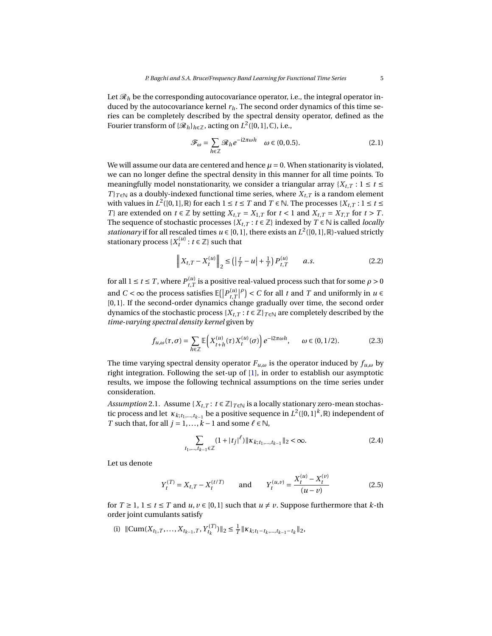Let  $\mathcal{R}_h$  be the corresponding autocovariance operator, i.e., the integral operator induced by the autocovariance kernel  $r_h$ . The second order dynamics of this time series can be completely described by the spectral density operator, defined as the Fourier transform of  $\{\mathscr{R}_h\}_{h\in\mathbb{Z}}$ , acting on  $L^2([0,1],\mathbb{C})$ , i.e.,

$$
\mathcal{F}_{\omega} = \sum_{h \in \mathbb{Z}} \mathcal{R}_h e^{-i2\pi \omega h} \quad \omega \in (0, 0.5). \tag{2.1}
$$

We will assume our data are centered and hence  $\mu = 0$ . When stationarity is violated, we can no longer define the spectral density in this manner for all time points. To meaningfully model nonstationarity, we consider a triangular array  ${X_{t,T} : 1 \le t \le T}$ *T*} $_{T \in \mathbb{N}}$  as a doubly-indexed functional time series, where  $X_{t,T}$  is a random element with values in  $L^2([0,1],\mathbb{R})$  for each  $1 \le t \le T$  and  $T \in \mathbb{N}$ . The processes  $\{X_{t,T} : 1 \le t \le T\}$ *T*} are extended on  $t \in \mathbb{Z}$  by setting  $X_{t,T} = X_{1,T}$  for  $t < 1$  and  $X_{t,T} = X_{T,T}$  for  $t > T$ . The sequence of stochastic processes  $\{X_{t,T} : t \in \mathbb{Z}\}$  indexed by  $T \in \mathbb{N}$  is called *locally stationary* if for all rescaled times  $u \in [0, 1]$ , there exists an  $L^2([0, 1], \mathbb{R})$ -valued strictly stationary process  $\{X_t^{(u)}: t \in \mathbb{Z}\}$  such that

$$
\left\| X_{t,T} - X_t^{(u)} \right\|_2 \le \left( \left| \frac{t}{T} - u \right| + \frac{1}{T} \right) P_{t,T}^{(u)} \qquad a.s. \tag{2.2}
$$

for all  $1 \le t \le T$ , where  $P_{t,T}^{(u)}$  is a positive real-valued process such that for some  $\rho > 0$ and *C* <  $\infty$  the process satisfies  $\mathbb{E}(|P_{t,T}^{(u)}|^{\rho}) < C$  for all *t* and *T* and uniformly in *u*  $\in$ [0, 1]. If the second-order dynamics change gradually over time, the second order dynamics of the stochastic process { $X_{t,T}$  :  $t \in \mathbb{Z}$ }  $_{T \in \mathbb{N}}$  are completely described by the *time-varying spectral density kernel* given by

$$
f_{u,\omega}(\tau,\sigma) = \sum_{h \in \mathbb{Z}} \mathbb{E}\left(X_{t+h}^{(u)}(\tau)X_t^{(u)}(\sigma)\right) e^{-i2\pi\omega h}, \qquad \omega \in (0,1/2). \tag{2.3}
$$

The time varying spectral density operator  $F_{u,\omega}$  is the operator induced by  $f_{u,\omega}$  by right integration. Following the set-up of [\[1\]](#page-30-5), in order to establish our asymptotic results, we impose the following technical assumptions on the time series under consideration.

<span id="page-4-0"></span>*Assumption* 2.1. Assume  $\{X_{t,T}: t \in \mathbb{Z}\}_{T \in \mathbb{N}}$  is a locally stationary zero-mean stochastic process and let  $\kappa_{k;t_1,...,t_{k-1}}$  be a positive sequence in  $L^2([0,1]^k,\mathbb{R})$  independent of *T* such that, for all  $j = 1, ..., k - 1$  and some  $\ell \in \mathbb{N}$ ,

$$
\sum_{t_1,\dots,t_{k-1}\in\mathbb{Z}} (1+|t_j|^{\ell}) \|\kappa_{k;t_1,\dots,t_{k-1}}\|_2 < \infty.
$$
 (2.4)

Let us denote

$$
Y_t^{(T)} = X_{t,T} - X_t^{(t/T)} \qquad \text{and} \qquad Y_t^{(u,v)} = \frac{X_t^{(u)} - X_t^{(v)}}{(u-v)}
$$
(2.5)

for  $T \geq 1$ ,  $1 \leq t \leq T$  and  $u, v \in [0, 1]$  such that  $u \neq v$ . Suppose furthermore that  $k$ -th order joint cumulants satisfy

(i)  $\|\text{Cum}(X_{t_1, T}, \ldots, X_{t_{k-1}, T}, Y_{t_k}^{(T)})\|_2 \leq \frac{1}{T} \|\kappa_{k, t_1 - t_k, \ldots, t_{k-1} - t_k}\|_2$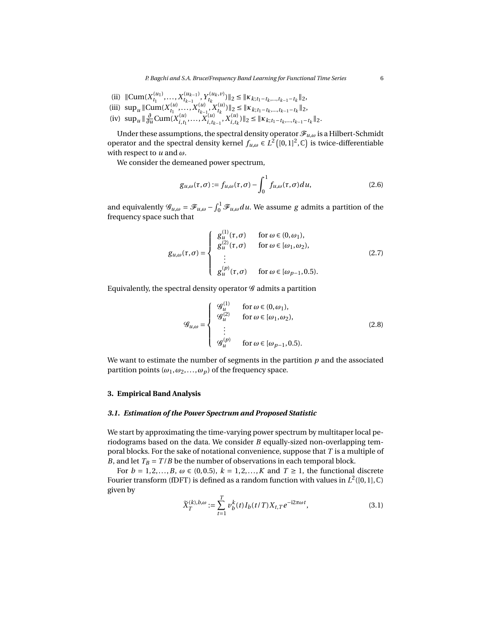- (ii)  $||\text{Cum}(X_{t_1}^{(u_1)},...,X_{t_{k-1}}^{(u_{k-1})},Y_{t_k}^{(u_k,v)})||_2 \leq ||\kappa_{k,t_1-t_k,...,t_{k-1}-t_k}||_2,$
- (iii)  $\sup_u \|\text{Cum}(X_{t_1}^{(u)},...,X_{t_{k-1}}^{(u)},X_{t_k}^{(u)})\|_2 \leq \|\kappa_{k,t_1-t_k,...,t_{k-1}-t_k}\|_2$
- (iv)  $\sup_{u} \|\frac{\partial}{\partial u} \text{Cum}(X_{i,t_1}^{(u)})\|$  $\sum_{i,t_1}^{(u)}, \ldots, \sum_{i,t_k}^{(u)}$  $\int_{i,t_{k-1}}^{u(u)} X_{i,t_k}^{(u)}$  $\|f(t)\|_2 \leq \|\kappa_{k;t_1-t_k,\dots,t_{k-1}-t_k}\|_2.$

Under these assumptions, the spectral density operator  $\mathcal{F}_{u,\omega}$  is a Hilbert-Schmidt operator and the spectral density kernel  $f_{u,\omega} \in L^2([0,1]^2,\mathbb{C})$  is twice-differentiable with respect to *u* and *ω*.

We consider the demeaned power spectrum,

$$
g_{u,\omega}(\tau,\sigma) := f_{u,\omega}(\tau,\sigma) - \int_0^1 f_{u,\omega}(\tau,\sigma) du, \qquad (2.6)
$$

and equivalently  $\mathscr{G}_{u,\omega} = \mathscr{F}_{u,\omega} - \int_0^1 \mathscr{F}_{u,\omega} du$ . We assume *g* admits a partition of the frequency space such that

<span id="page-5-1"></span>
$$
g_{u,\omega}(\tau,\sigma) = \begin{cases} g_u^{(1)}(\tau,\sigma) & \text{for } \omega \in (0,\omega_1), \\ g_u^{(2)}(\tau,\sigma) & \text{for } \omega \in [\omega_1,\omega_2), \\ \vdots & \vdots \\ g_u^{(p)}(\tau,\sigma) & \text{for } \omega \in [\omega_{p-1},0.5). \end{cases}
$$
(2.7)

Equivalently, the spectral density operator  $\mathscr G$  admits a partition

$$
\mathcal{G}_{u,\omega} = \begin{cases}\n\mathcal{G}_u^{(1)} & \text{for } \omega \in (0,\omega_1), \\
\mathcal{G}_u^{(2)} & \text{for } \omega \in [\omega_1, \omega_2), \\
\vdots \\
\mathcal{G}_u^{(p)} & \text{for } \omega \in [\omega_{p-1}, 0.5).\n\end{cases}
$$
\n(2.8)

We want to estimate the number of segments in the partition *p* and the associated partition points  $(\omega_1, \omega_2, \dots, \omega_p)$  of the frequency space.

# <span id="page-5-0"></span>**3. Empirical Band Analysis**

#### <span id="page-5-2"></span>*3.1. Estimation of the Power Spectrum and Proposed Statistic*

We start by approximating the time-varying power spectrum by multitaper local periodograms based on the data. We consider *B* equally-sized non-overlapping temporal blocks. For the sake of notational convenience, suppose that *T* is a multiple of *B*, and let  $T_B = T/B$  be the number of observations in each temporal block.

For  $b = 1, 2, \ldots, B$ ,  $\omega \in (0, 0.5)$ ,  $k = 1, 2, \ldots, K$  and  $T \ge 1$ , the functional discrete Fourier transform (fDFT) is defined as a random function with values in  $L^2([0,1],\mathbb{C})$ given by

<span id="page-5-3"></span>
$$
\widetilde{X}_T^{(k),b,\omega} := \sum_{t=1}^T v_b^k(t) I_b(t/T) X_{t,T} e^{-i2\pi\omega t},
$$
\n(3.1)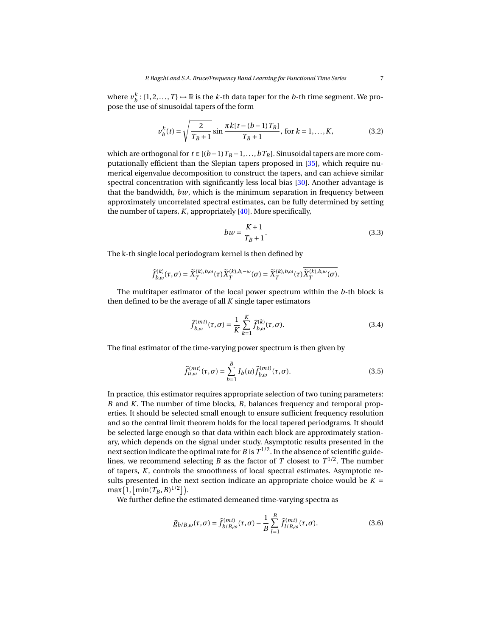where  $v_b^k$ : {1, 2, ..., *T*}  $\mapsto \mathbb{R}$  is the *k*-th data taper for the *b*-th time segment. We propose the use of sinusoidal tapers of the form

$$
v_b^k(t) = \sqrt{\frac{2}{T_B + 1}} \sin \frac{\pi k [t - (b - 1)T_B]}{T_B + 1}, \text{ for } k = 1, ..., K,
$$
 (3.2)

which are orthogonal for *t* ∈  $[(b-1)T_B+1,...,bT_B]$ . Sinusoidal tapers are more computationally efficient than the Slepian tapers proposed in [\[35\]](#page-32-3), which require numerical eigenvalue decomposition to construct the tapers, and can achieve similar spectral concentration with significantly less local bias [\[30\]](#page-31-13). Another advantage is that the bandwidth, *bw*, which is the minimum separation in frequency between approximately uncorrelated spectral estimates, can be fully determined by setting the number of tapers, *K*, appropriately [\[40\]](#page-32-4). More specifically,

$$
bw = \frac{K+1}{T_B+1}.\tag{3.3}
$$

The k-th single local periodogram kernel is then defined by

$$
\widehat{f}_{b,\omega}^{(k)}(\tau,\sigma)=\widetilde{X}_T^{(k),b,\omega}(\tau)\widetilde{X}_T^{(k),b,-\omega}(\sigma)=\widetilde{X}_T^{(k),b,\omega}(\tau)\overline{\widetilde{X}_T^{(k),b,\omega}(\sigma)}.
$$

The multitaper estimator of the local power spectrum within the *b*-th block is then defined to be the average of all *K* single taper estimators

$$
\widehat{f}_{b,\omega}^{(mt)}(\tau,\sigma) = \frac{1}{K} \sum_{k=1}^{K} \widehat{f}_{b,\omega}^{(k)}(\tau,\sigma).
$$
\n(3.4)

The final estimator of the time-varying power spectrum is then given by

<span id="page-6-1"></span>
$$
\widehat{f}_{u,\omega}^{(mt)}(\tau,\sigma) = \sum_{b=1}^{B} I_b(u) \widehat{f}_{b,\omega}^{(mt)}(\tau,\sigma).
$$
\n(3.5)

In practice, this estimator requires appropriate selection of two tuning parameters: *B* and *K*. The number of time blocks, *B*, balances frequency and temporal properties. It should be selected small enough to ensure sufficient frequency resolution and so the central limit theorem holds for the local tapered periodgrams. It should be selected large enough so that data within each block are approximately stationary, which depends on the signal under study. Asymptotic results presented in the next section indicate the optimal rate for *B* is  $T^{1/2}$ . In the absence of scientific guidelines, we recommend selecting *B* as the factor of *T* closest to  $T^{1/2}$ . The number of tapers, *K*, controls the smoothness of local spectral estimates. Asymptotic results presented in the next section indicate an appropriate choice would be  $K =$  $\max(1, \lfloor \min(T_B, B)^{1/2} \rfloor).$ 

We further define the estimated demeaned time-varying spectra as

<span id="page-6-0"></span>
$$
\widehat{g}_{b/B,\omega}(\tau,\sigma) = \widehat{f}_{b/B,\omega}^{(mt)}(\tau,\sigma) - \frac{1}{B} \sum_{l=1}^{B} \widehat{f}_{l/B,\omega}^{(mt)}(\tau,\sigma). \tag{3.6}
$$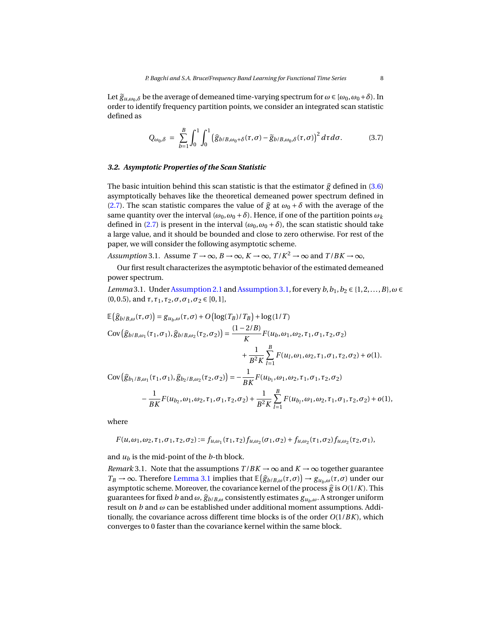Let  $\tilde{g}_{u,\omega_0,\delta}$  be the average of demeaned time-varying spectrum for  $\omega \in [\omega_0,\omega_0+\delta)$ . In order to identify frequency partition points, we consider an integrated scan statistic defined as

$$
Q_{\omega_0,\delta} = \sum_{b=1}^B \int_0^1 \int_0^1 (\widehat{g}_{b/B,\omega_0+\delta}(\tau,\sigma) - \widetilde{g}_{b/B,\omega_0,\delta}(\tau,\sigma))^2 d\tau d\sigma.
$$
 (3.7)

#### *3.2. Asymptotic Properties of the Scan Statistic*

The basic intuition behind this scan statistic is that the estimator  $\hat{g}$  defined in [\(3.6\)](#page-6-0) asymptotically behaves like the theoretical demeaned power spectrum defined in [\(2.7\)](#page-5-1). The scan statistic compares the value of  $\hat{g}$  at  $\omega_0 + \delta$  with the average of the same quantity over the interval  $(\omega_0, \omega_0 + \delta)$ . Hence, if one of the partition points  $\omega_k$ defined in [\(2.7\)](#page-5-1) is present in the interval ( $\omega_0$ ,  $\omega_0 + \delta$ ), the scan statistic should take a large value, and it should be bounded and close to zero otherwise. For rest of the paper, we will consider the following asymptotic scheme.

<span id="page-7-0"></span>*Assumption* 3.1. Assume  $T \to \infty$ ,  $B \to \infty$ ,  $K \to \infty$ ,  $T/K^2 \to \infty$  and  $T/BK \to \infty$ ,

Our first result characterizes the asymptotic behavior of the estimated demeaned power spectrum.

<span id="page-7-1"></span>*Lemma* 3.1. Under [Assumption 2.1](#page-4-0) and [Assumption 3.1,](#page-7-0) for every *b*,  $b_1$ ,  $b_2 \in \{1, 2, ..., B\}$ ,  $\omega \in$ (0, 0.5), and  $τ$ ,  $τ$ <sub>1</sub>,  $τ$ <sub>2</sub>,  $σ$ ,  $σ$ <sub>1</sub>,  $σ$ <sub>2</sub> ∈ [0, 1],

$$
\mathbb{E}\left(\hat{g}_{b/B,\omega}(\tau,\sigma)\right) = g_{u_b,\omega}(\tau,\sigma) + O\left(\log(T_B)/T_B\right) + \log(1/T)
$$
\n
$$
\text{Cov}\left(\hat{g}_{b/B,\omega_1}(\tau_1,\sigma_1), \hat{g}_{b/B,\omega_2}(\tau_2,\sigma_2)\right) = \frac{(1-2/B)}{K}F(u_b,\omega_1,\omega_2,\tau_1,\sigma_1,\tau_2,\sigma_2)
$$
\n
$$
+ \frac{1}{B^2K} \sum_{l=1}^B F(u_l,\omega_1,\omega_2,\tau_1,\sigma_1,\tau_2,\sigma_2) + o(1).
$$
\n
$$
\text{Cov}\left(\hat{g}_{b_1/B,\omega_1}(\tau_1,\sigma_1), \hat{g}_{b_2/B,\omega_2}(\tau_2,\sigma_2)\right) = -\frac{1}{BK}F(u_{b_1},\omega_1,\omega_2,\tau_1,\sigma_1,\tau_2,\sigma_2)
$$
\n
$$
- \frac{1}{BK}F(u_{b_2},\omega_1,\omega_2,\tau_1,\sigma_1,\tau_2,\sigma_2) + \frac{1}{B^2K} \sum_{l=1}^B F(u_{b_l},\omega_1,\omega_2,\tau_1,\sigma_1,\tau_2,\sigma_2) + o(1),
$$

where

$$
F(u,\omega_1,\omega_2,\tau_1,\sigma_1,\tau_2,\sigma_2):=f_{u,\omega_1}(\tau_1,\tau_2)f_{u,\omega_2}(\sigma_1,\sigma_2)+f_{u,\omega_2}(\tau_1,\sigma_2)f_{u,\omega_2}(\tau_2,\sigma_1),
$$

and  $u_b$  is the mid-point of the  $b$ -th block.

*Remark* 3.1. Note that the assumptions  $T/BK \to \infty$  and  $K \to \infty$  together guarantee  $T_B \rightarrow \infty$ . Therefore [Lemma 3.1](#page-7-1) implies that  $\mathbb{E}(\hat{g}_{b/B, \omega}(\tau, \sigma)) \rightarrow g_{u_b, \omega}(\tau, \sigma)$  under our commutationshape. Moreover, the coverience legrel of the process  $\hat{\sigma}$  is  $O(1/K)$ . This asymptotic scheme. Moreover, the covariance kernel of the process  $\hat{g}$  is  $O(1/K)$ . This guarantees for fixed *b* and  $\omega$ ,  $\hat{g}_{b/B,\omega}$  consistently estimates  $g_{u_b,\omega}$ . A stronger uniform result on *b* and *ω* can be established under additional moment assumptions. Additionally, the covariance across different time blocks is of the order *O*(1/*BK*), which converges to 0 faster than the covariance kernel within the same block.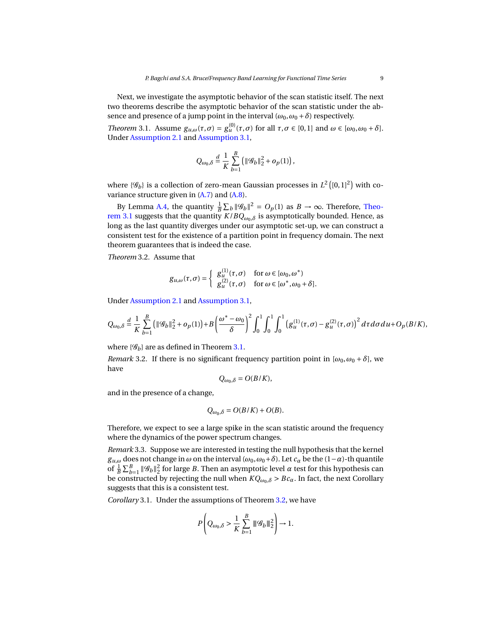Next, we investigate the asymptotic behavior of the scan statistic itself. The next two theorems describe the asymptotic behavior of the scan statistic under the absence and presence of a jump point in the interval  $(\omega_0, \omega_0 + \delta)$  respectively.

<span id="page-8-0"></span>*Theorem* 3.1. Assume  $g_{u,\omega}(\tau,\sigma) = g_u^{(0)}(\tau,\sigma)$  for all  $\tau,\sigma \in [0,1]$  and  $\omega \in [\omega_0,\omega_0 + \delta]$ . Under [Assumption 2.1](#page-4-0) and [Assumption 3.1,](#page-7-0)

$$
Q_{\omega_0,\delta} \stackrel{d}{=} \frac{1}{K} \sum_{b=1}^B \left( ||\mathcal{G}_b||_2^2 + o_p(1) \right),
$$

where  $\{\mathscr{G}_b\}$  is a collection of zero-mean Gaussian processes in  $L^2\left([0,1]^2\right)$  with covariance structure given in [\(A.7\)](#page-28-0) and [\(A.8\)](#page-28-1).

By Lemma [A.4,](#page-28-2) the quantity  $\frac{1}{B} \sum_b ||\mathcal{G}_b||^2 = O_p(1)$  as  $B \to \infty$ . Therefore, [Theo](#page-8-0)[rem 3.1](#page-8-0) suggests that the quantity  $K/BQ_{\omega_0,\delta}$  is asymptotically bounded. Hence, as long as the last quantity diverges under our asymptotic set-up, we can construct a consistent test for the existence of a partition point in frequency domain. The next theorem guarantees that is indeed the case.

<span id="page-8-1"></span>*Theorem* 3.2*.* Assume that

$$
g_{u,\omega}(\tau,\sigma) = \begin{cases} g_u^{(1)}(\tau,\sigma) & \text{for } \omega \in [\omega_0, \omega^*) \\ g_u^{(2)}(\tau,\sigma) & \text{for } \omega \in [\omega^*, \omega_0 + \delta]. \end{cases}
$$

Under [Assumption 2.1](#page-4-0) and [Assumption 3.1,](#page-7-0)

$$
Q_{\omega_0,\delta} \stackrel{d}{=} \frac{1}{K} \sum_{b=1}^B \left( \|g_b\|_2^2 + o_p(1) \right) + B \left( \frac{\omega^* - \omega_0}{\delta} \right)^2 \int_0^1 \int_0^1 \int_0^1 \left( g_u^{(1)}(\tau,\sigma) - g_u^{(2)}(\tau,\sigma) \right)^2 d\tau d\sigma du + O_p(B/K),
$$

where  $\{\mathscr{G}_h\}$  are as defined in Theorem [3.1.](#page-8-0)

*Remark* 3.2. If there is no significant frequency partition point in  $[\omega_0, \omega_0 + \delta]$ , we have

$$
Q_{\omega_0,\delta}=O(B/K),
$$

and in the presence of a change,

$$
Q_{\omega_0,\delta}=O(B/K)+O(B).
$$

Therefore, we expect to see a large spike in the scan statistic around the frequency where the dynamics of the power spectrum changes.

*Remark* 3.3*.* Suppose we are interested in testing the null hypothesis that the kernel *g*<sub>*u*, $\omega$ </sub> does not change in  $\omega$  on the interval  $(\omega_0, \omega_0 + \delta)$ . Let  $c_\alpha$  be the (1−*α*)-th quantile of  $\frac{1}{B}\sum_{b=1}^B \|\mathscr{G}_b\|_2^2$  for large *B*. Then an asymptotic level  $\alpha$  test for this hypothesis can be constructed by rejecting the null when  $KQ_{\omega_0,\delta} > Bc_\alpha$ . In fact, the next Corollary suggests that this is a consistent test.

*Corollary* 3.1*.* Under the assumptions of Theorem [3.2,](#page-8-1) we have

$$
P\left(Q_{\omega_0,\delta} > \frac{1}{K} \sum_{b=1}^B \|\mathcal{G}_b\|_2^2\right) \to 1.
$$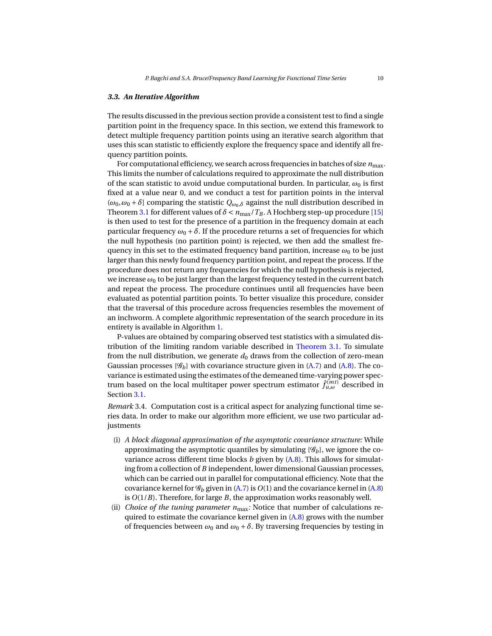# *3.3. An Iterative Algorithm*

The results discussed in the previous section provide a consistent test to find a single partition point in the frequency space. In this section, we extend this framework to detect multiple frequency partition points using an iterative search algorithm that uses this scan statistic to efficiently explore the frequency space and identify all frequency partition points.

For computational efficiency, we search across frequencies in batches of size  $n_{\text{max}}$ . This limits the number of calculations required to approximate the null distribution of the scan statistic to avoid undue computational burden. In particular,  $\omega_0$  is first fixed at a value near 0, and we conduct a test for partition points in the interval  $(\omega_0, \omega_0 + \delta)$  comparing the statistic  $Q_{\omega_0, \delta}$  against the null distribution described in Theorem [3.1](#page-8-0) for different values of  $\delta < n_{\text{max}}/T_B$ . A Hochberg step-up procedure [\[15\]](#page-30-6) is then used to test for the presence of a partition in the frequency domain at each particular frequency  $\omega_0 + \delta$ . If the procedure returns a set of frequencies for which the null hypothesis (no partition point) is rejected, we then add the smallest frequency in this set to the estimated frequency band partition, increase  $\omega_0$  to be just larger than this newly found frequency partition point, and repeat the process. If the procedure does not return any frequencies for which the null hypothesis is rejected, we increase  $\omega_0$  to be just larger than the largest frequency tested in the current batch and repeat the process. The procedure continues until all frequencies have been evaluated as potential partition points. To better visualize this procedure, consider that the traversal of this procedure across frequencies resembles the movement of an inchworm. A complete algorithmic representation of the search procedure in its entirety is available in Algorithm [1.](#page-10-0)

P-values are obtained by comparing observed test statistics with a simulated distribution of the limiting random variable described in [Theorem 3.1.](#page-8-0) To simulate from the null distribution, we generate  $d_0$  draws from the collection of zero-mean Gaussian processes  $\{\mathscr{G}_b\}$  with covariance structure given in [\(A.7\)](#page-28-0) and [\(A.8\)](#page-28-1). The covariance is estimated using the estimates of the demeaned time-varying power spectrum based on the local multitaper power spectrum estimator  $\hat{f}_{\mu,\omega}^{(mt)}$  described in Section [3.1.](#page-5-2)

*Remark* 3.4*.* Computation cost is a critical aspect for analyzing functional time series data. In order to make our algorithm more efficient, we use two particular adjustments

- (i) *A block diagonal approximation of the asymptotic covariance structure:* While approximating the asymptotic quantiles by simulating  $\{\mathscr{G}_b\}$ , we ignore the covariance across different time blocks *b* given by [\(A.8\)](#page-28-1). This allows for simulating from a collection of *B* independent, lower dimensional Gaussian processes, which can be carried out in parallel for computational efficiency. Note that the covariance kernel for  $\mathcal{G}_b$  given in [\(A.7\)](#page-28-0) is  $O(1)$  and the covariance kernel in [\(A.8\)](#page-28-1) is *O*(1/*B*). Therefore, for large *B*, the approximation works reasonably well.
- (ii) *Choice of the tuning parameter*  $n_{\text{max}}$ *:* Notice that number of calculations required to estimate the covariance kernel given in  $(A.8)$  grows with the number of frequencies between  $\omega_0$  and  $\omega_0 + \delta$ . By traversing frequencies by testing in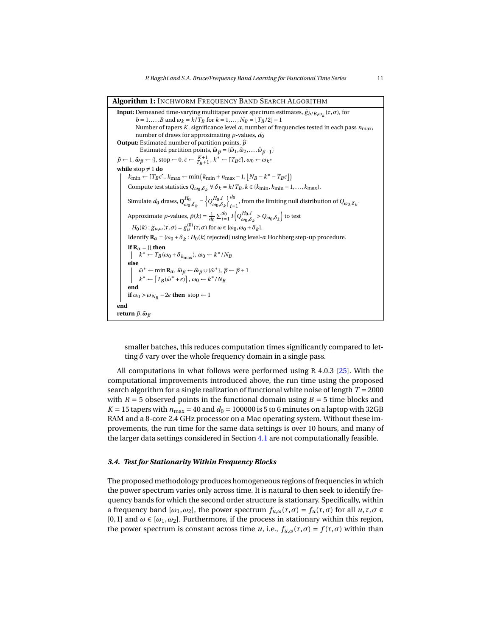**Algorithm 1:** INCHWORM FREQUENCY BAND SEARCH ALGORITHM

**Input:** Demeaned time-varying multitaper power spectrum estimates,  $\hat{g}_{b/B,\omega_k}(\tau,\sigma)$ , for *b* = 1,...,*B* and  $\omega_k = k/T_B$  for  $k = 1, ..., N_B = \lfloor T_B/2 \rfloor - 1$ Number of tapers *K*, significance level *α*, number of frequencies tested in each pass *n*max, number of draws for approximating  $p$ -values,  $d_0$ **Output:** Estimated number of partition points,  $\hat{p}$ Estimated partition points,  $\hat{\omega}_{\hat{p}} = {\hat{\omega}_1, \hat{\omega}_2, ..., \hat{\omega}_{\hat{p}-1}}$  $\hat{p}$  ← 1,  $\hat{\omega}_{\hat{p}}$  ← {}, stop ← 0,  $\epsilon$  ←  $\frac{K+1}{T_B+1}$ ,  $k^*$  ←  $\lceil T_B \epsilon \rceil$ ,  $\omega_0$  ←  $\omega_{k^*}$ **while** stop  $\neq 1$  **do**  $k_{\text{min}} \leftarrow [T_B \epsilon], k_{\text{max}} \leftarrow \min(k_{\text{min}} + n_{\text{max}} - 1, \lfloor N_B - k^* - T_B \epsilon \rfloor)$ Compute test statistics  $Q_{\omega_0, \delta_k} \forall \delta_k = k/T_B, k \in \{k_{\text{min}}, k_{\text{min}} + 1, ..., k_{\text{max}}\}.$ Simulate  $d_0$  draws,  $\mathbf{Q}_{\omega_0,\delta_k}^{H_0} = \left\{Q_{\omega_0,\delta_k}^{H_0,i}\right\}$  $\mathfrak{d}^{\ d_0}$  $\int_{i=1}^{6}$ , from the limiting null distribution of  $Q_{\omega_0,\delta_k}$ . Approximate *p*-values,  $\hat{p}(k) = \frac{1}{d_0} \sum_{i=1}^{d_0} I\left(Q_{\omega_0,\delta_k}^{H_0,i} > Q_{\omega_0,\delta_k}\right)$  to test *H*<sub>0</sub>(*k*) : *g*<sub>*u*</sub>,*ω*( $\tau$ ,*σ*) = *g*<sup>(0)</sup><sub>u</sub></sub> ( $\tau$ ,*σ*) for  $\omega \in [\omega_0, \omega_0 + \delta_k]$ . Identify **<sup>R</sup>***<sup>α</sup>* <sup>=</sup> {*ω*<sup>0</sup> <sup>+</sup>*δ<sup>k</sup>* : *H*0(*k*) rejected} using level-*α* Hochberg step-up procedure. **if**  $R_\alpha = \{\}$  **then**  $k^* \leftarrow T_B(\omega_0 + \delta_{k_{\text{max}}}), \omega_0 \leftarrow k^* / N_B$ **else**  $\hat{\omega}^* \leftarrow \min \mathbf{R}_{\alpha}, \hat{\omega}_{\hat{p}} \leftarrow \hat{\omega}_{\hat{p}} \cup \{\hat{\omega}^*\}, \hat{p} \leftarrow \hat{p} + 1$ <br>  $k^* \leftarrow \left[T_B(\hat{\omega}^* + \epsilon)\right], \omega_0 \leftarrow k^* / N_B$ **end if**  $\omega_0 > \omega_{N_B} - 2\epsilon$  **then** stop ← 1 **end return**  $\hat{p}, \hat{\omega}_{\hat{n}}$ 

<span id="page-10-0"></span>smaller batches, this reduces computation times significantly compared to letting *δ* vary over the whole frequency domain in a single pass.

All computations in what follows were performed using R 4.0.3 [\[25\]](#page-31-14). With the computational improvements introduced above, the run time using the proposed search algorithm for a single realization of functional white noise of length *T* = 2000 with  $R = 5$  observed points in the functional domain using  $B = 5$  time blocks and  $K = 15$  tapers with  $n_{\text{max}} = 40$  and  $d_0 = 100000$  is 5 to 6 minutes on a laptop with 32GB RAM and a 8-core 2.4 GHz processor on a Mac operating system. Without these improvements, the run time for the same data settings is over 10 hours, and many of the larger data settings considered in Section [4.1](#page-11-1) are not computationally feasible.

#### *3.4. Test for Stationarity Within Frequency Blocks*

The proposed methodology produces homogeneous regions of frequencies in which the power spectrum varies only across time. It is natural to then seek to identify frequency bands for which the second order structure is stationary. Specifically, within a frequency band  $[\omega_1, \omega_2]$ , the power spectrum  $f_{\mu,\omega}(\tau, \sigma) = f_{\mu}(\tau, \sigma)$  for all  $\mu, \tau, \sigma \in$ [0, 1] and  $\omega \in [\omega_1, \omega_2]$ . Furthermore, if the process in stationary within this region, the power spectrum is constant across time *u*, i.e.,  $f_{u,\omega}(\tau,\sigma) = f(\tau,\sigma)$  within than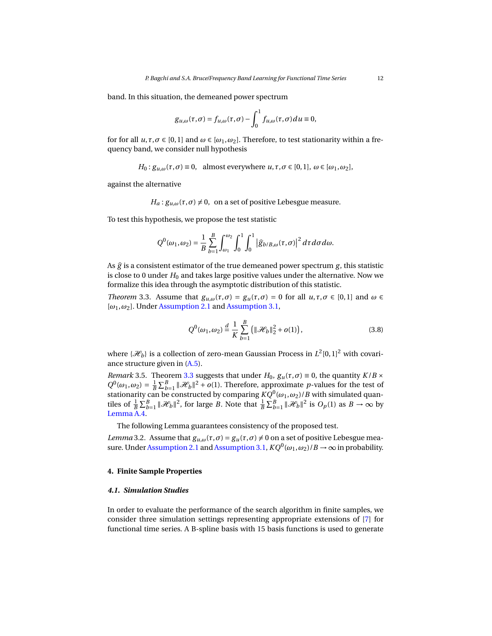band. In this situation, the demeaned power spectrum

$$
g_{u,\omega}(\tau,\sigma) = f_{u,\omega}(\tau,\sigma) - \int_0^1 f_{u,\omega}(\tau,\sigma) du \equiv 0,
$$

for for all  $u, \tau, \sigma \in [0, 1]$  and  $\omega \in [\omega_1, \omega_2]$ . Therefore, to test stationarity within a frequency band, we consider null hypothesis

*H*<sub>0</sub> :  $g_{u,\omega}(\tau,\sigma) \equiv 0$ , almost everywhere  $u,\tau,\sigma \in [0,1], \omega \in [\omega_1,\omega_2],$ 

against the alternative

 $H_a: g_{u,\omega}(\tau, \sigma) \neq 0$ , on a set of positive Lebesgue measure.

To test this hypothesis, we propose the test statistic

$$
Q^{0}(\omega_1,\omega_2)=\frac{1}{B}\sum_{b=1}^{B}\int_{\omega_1}^{\omega_2}\int_0^1\int_0^1\left|\widehat{g}_{b/B,\omega}(\tau,\sigma)\right|^2d\tau d\sigma d\omega.
$$

As  $\hat{g}$  is a consistent estimator of the true demeaned power spectrum  $g$ , this statistic is close to 0 under  $H_0$  and takes large positive values under the alternative. Now we formalize this idea through the asymptotic distribution of this statistic.

<span id="page-11-2"></span>*Theorem* 3.3*.* Assume that  $g_{u,\omega}(\tau,\sigma) = g_u(\tau,\sigma) = 0$  for all  $u,\tau,\sigma \in [0,1]$  and  $\omega \in$ [*ω*1,*ω*2]. Under [Assumption 2.1](#page-4-0) and [Assumption 3.1,](#page-7-0)

$$
Q^{0}(\omega_{1}, \omega_{2}) \stackrel{d}{=} \frac{1}{K} \sum_{b=1}^{B} ( \| \mathcal{H}_{b} \|_{2}^{2} + o(1) ), \qquad (3.8)
$$

where  $\{\mathcal{H}_b\}$  is a collection of zero-mean Gaussian Process in  $L^2[0,1]^2$  with covariance structure given in [\(A.5\)](#page-28-3).

*Remark* 3.5*.* Theorem [3.3](#page-11-2) suggests that under  $H_0$ ,  $g_u(\tau, \sigma) \equiv 0$ , the quantity  $K/B \times$  $Q^0(\omega_1, \omega_2) = \frac{1}{B} \sum_{b=1}^B ||\mathcal{H}_b||^2 + o(1)$ . Therefore, approximate *p*-values for the test of stationarity can be constructed by comparing  $KQ^0(\omega_1,\omega_2)/B$  with simulated quantiles of  $\frac{1}{B} \sum_{b=1}^{B} ||\mathcal{H}_b||^2$ , for large *B*. Note that  $\frac{1}{B} \sum_{b=1}^{B} ||\mathcal{H}_b||^2$  is  $O_p(1)$  as  $B \to \infty$  by [Lemma A.4.](#page-28-2)

The following Lemma guarantees consistency of the proposed test.

<span id="page-11-3"></span>*Lemma* 3.2. Assume that  $g_{u,\omega}(\tau,\sigma) = g_u(\tau,\sigma) \neq 0$  on a set of positive Lebesgue mea-sure. Under [Assumption 2.1](#page-4-0) and [Assumption 3.1,](#page-7-0)  $KQ^0(\omega_1, \omega_2)/B \to \infty$  in probability.

# <span id="page-11-0"></span>**4. Finite Sample Properties**

#### <span id="page-11-1"></span>*4.1. Simulation Studies*

In order to evaluate the performance of the search algorithm in finite samples, we consider three simulation settings representing appropriate extensions of [\[7\]](#page-30-4) for functional time series. A B-spline basis with 15 basis functions is used to generate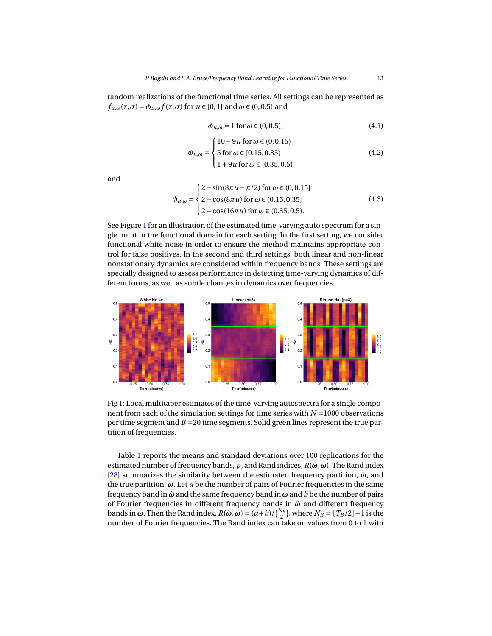random realizations of the functional time series. All settings can be represented as  $f_{u,\omega}(\tau,\sigma) = \phi_{u,\omega} f(\tau,\sigma)$  for  $u \in [0,1]$  and  $\omega \in (0,0.5)$  and

$$
\phi_{u,\omega} = 1 \text{ for } \omega \in (0, 0.5),\tag{4.1}
$$

$$
\phi_{u,\omega} = \begin{cases}\n10 - 9u \text{ for } \omega \in (0, 0.15) \\
5 \text{ for } \omega \in [0.15, 0.35) \\
1 + 9u \text{ for } \omega \in [0.35, 0.5),\n\end{cases}
$$
\n(4.2)

and

$$
\phi_{u,\omega} = \begin{cases}\n2 + \sin(8\pi u - \pi/2) \text{ for } \omega \in (0, 0.15] \\
2 + \cos(8\pi u) \text{ for } \omega \in (0.15, 0.35] \\
2 + \cos(16\pi u) \text{ for } \omega \in (0.35, 0.5).\n\end{cases}
$$
\n(4.3)

See Figure [1](#page-12-0) for an illustration of the estimated time-varying auto spectrum for a single point in the functional domain for each setting. In the first setting, we consider functional white noise in order to ensure the method maintains appropriate control for false positives. In the second and third settings, both linear and non-linear nonstationary dynamics are considered within frequency bands. These settings are specially designed to assess performance in detecting time-varying dynamics of different forms, as well as subtle changes in dynamics over frequencies.

<span id="page-12-0"></span>

Fig 1: Local multitaper estimates of the time-varying autospectra for a single component from each of the simulation settings for time series with *N* =1000 observations per time segment and *B* =20 time segments. Solid green lines represent the true partition of frequencies.

Table [1](#page-14-0) reports the means and standard deviations over 100 replications for the estimated number of frequency bands, *p*ˆ, and Rand indices, *R*(*ω*ˆ ,*ω*). The Rand index [\[28\]](#page-31-15) summarizes the similarity between the estimated frequency partition,  $\hat{\omega}$ , and the true partition, *ω*. Let *a* be the number of pairs of Fourier frequencies in the same frequency band in *ω*ˆ and the same frequency band in *ω* and *b* be the number of pairs of Fourier frequencies in different frequency bands in *ω*ˆ and different frequency bands in  $\omega$ . Then the Rand index,  $R(\hat{\omega}, \omega) = (a+b)/\binom{N_B}{2}$ , where  $N_B = \lfloor T_B/2 \rfloor - 1$  is the number of Fourier frequencies. The Rand index can take on values from 0 to 1 with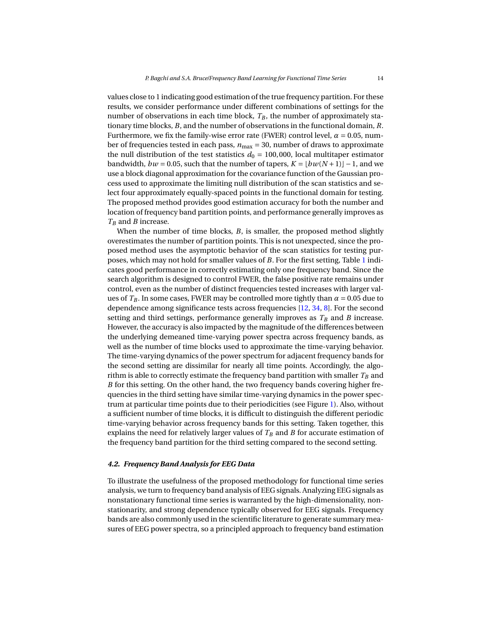values close to 1 indicating good estimation of the true frequency partition. For these results, we consider performance under different combinations of settings for the number of observations in each time block,  $T_B$ , the number of approximately stationary time blocks, *B*, and the number of observations in the functional domain, *R*. Furthermore, we fix the family-wise error rate (FWER) control level,  $\alpha = 0.05$ , number of frequencies tested in each pass, *n*max = 30, number of draws to approximate the null distribution of the test statistics  $d_0 = 100,000$ , local multitaper estimator bandwidth,  $bw = 0.05$ , such that the number of tapers,  $K = \lfloor bw(N+1) \rfloor - 1$ , and we use a block diagonal approximation for the covariance function of the Gaussian process used to approximate the limiting null distribution of the scan statistics and select four approximately equally-spaced points in the functional domain for testing. The proposed method provides good estimation accuracy for both the number and location of frequency band partition points, and performance generally improves as *T<sup>B</sup>* and *B* increase.

When the number of time blocks, *B*, is smaller, the proposed method slightly overestimates the number of partition points. This is not unexpected, since the proposed method uses the asymptotic behavior of the scan statistics for testing purposes, which may not hold for smaller values of *B*. For the first setting, Table [1](#page-14-0) indicates good performance in correctly estimating only one frequency band. Since the search algorithm is designed to control FWER, the false positive rate remains under control, even as the number of distinct frequencies tested increases with larger values of  $T_B$ . In some cases, FWER may be controlled more tightly than  $\alpha = 0.05$  due to dependence among significance tests across frequencies [\[12,](#page-30-7) [34,](#page-31-16) [8\]](#page-30-8). For the second setting and third settings, performance generally improves as  $T_B$  and  $B$  increase. However, the accuracy is also impacted by the magnitude of the differences between the underlying demeaned time-varying power spectra across frequency bands, as well as the number of time blocks used to approximate the time-varying behavior. The time-varying dynamics of the power spectrum for adjacent frequency bands for the second setting are dissimilar for nearly all time points. Accordingly, the algorithm is able to correctly estimate the frequency band partition with smaller  $T_B$  and *B* for this setting. On the other hand, the two frequency bands covering higher frequencies in the third setting have similar time-varying dynamics in the power spectrum at particular time points due to their periodicities (see Figure [1\)](#page-12-0). Also, without a sufficient number of time blocks, it is difficult to distinguish the different periodic time-varying behavior across frequency bands for this setting. Taken together, this explains the need for relatively larger values of  $T_B$  and  $B$  for accurate estimation of the frequency band partition for the third setting compared to the second setting.

#### *4.2. Frequency Band Analysis for EEG Data*

To illustrate the usefulness of the proposed methodology for functional time series analysis, we turn to frequency band analysis of EEG signals. Analyzing EEG signals as nonstationary functional time series is warranted by the high-dimensionality, nonstationarity, and strong dependence typically observed for EEG signals. Frequency bands are also commonly used in the scientific literature to generate summary measures of EEG power spectra, so a principled approach to frequency band estimation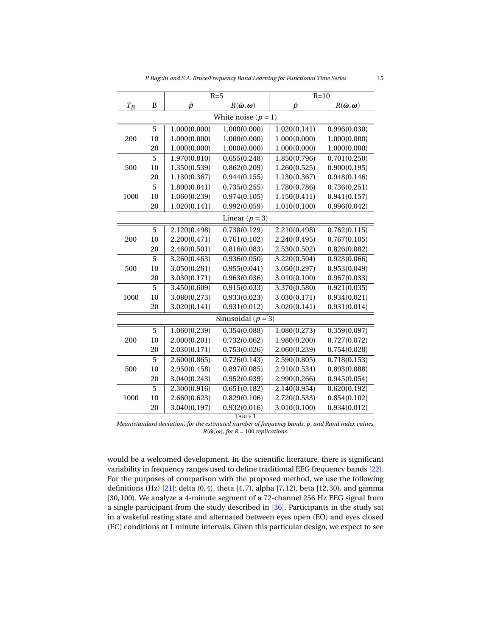| P. Bagchi and S.A. Bruce/Frequency Band Learning for Functional Time Series |  |
|-----------------------------------------------------------------------------|--|
|-----------------------------------------------------------------------------|--|

<span id="page-14-0"></span>

|                        |                | $R=5$        |                                                     | $R=10$       |                                                     |  |
|------------------------|----------------|--------------|-----------------------------------------------------|--------------|-----------------------------------------------------|--|
| $T_{\cal B}$           | B              | $\hat{p}$    | $R(\hat{\boldsymbol{\omega}}, \boldsymbol{\omega})$ | $\hat{p}$    | $R(\hat{\boldsymbol{\omega}}, \boldsymbol{\omega})$ |  |
| White noise $(p = 1)$  |                |              |                                                     |              |                                                     |  |
| 200                    | 5              | 1.000(0.000) | 1.000(0.000)                                        | 1.020(0.141) | 0.996(0.030)                                        |  |
|                        | 10             | 1.000(0.000) | 1.000(0.000)                                        | 1.000(0.000) | 1.000(0.000)                                        |  |
|                        | 20             | 1.000(0.000) | 1.000(0.000)                                        | 1.000(0.000) | 1.000(0.000)                                        |  |
| 500                    | $\overline{5}$ | 1.970(0.810) | 0.655(0.248)                                        | 1.850(0.796) | $\overline{0.701}$ $(0.250)$                        |  |
|                        | 10             | 1.350(0.539) | 0.862(0.209)                                        | 1.260(0.525) | 0.900(0.195)                                        |  |
|                        | 20             | 1.130(0.367) | 0.944(0.155)                                        | 1.130(0.367) | 0.948(0.146)                                        |  |
| 1000                   | 5              | 1.800(0.841) | 0.735(0.255)                                        | 1.780(0.786) | 0.736(0.251)                                        |  |
|                        | 10             | 1.060(0.239) | 0.974(0.105)                                        | 1.150(0.411) | 0.941(0.157)                                        |  |
|                        | 20             | 1.020(0.141) | 0.992(0.059)                                        | 1.010(0.100) | 0.996(0.042)                                        |  |
| Linear $(p = 3)$       |                |              |                                                     |              |                                                     |  |
| 200                    | $\overline{5}$ | 2.120(0.498) | 0.738(0.129)                                        | 2.210(0.498) | 0.762(0.115)                                        |  |
|                        | 10             | 2.200(0.471) | 0.761(0.102)                                        | 2.240(0.495) | 0.767(0.105)                                        |  |
|                        | 20             | 2.460(0.501) | 0.816(0.083)                                        | 2.530(0.502) | 0.826(0.082)                                        |  |
| 500                    | 5              | 3.260(0.463) | 0.936(0.050)                                        | 3.220(0.504) | 0.923(0.066)                                        |  |
|                        | 10             | 3.050(0.261) | 0.955(0.041)                                        | 3.050(0.297) | 0.953(0.049)                                        |  |
|                        | 20             | 3.030(0.171) | 0.963(0.036)                                        | 3.010(0.100) | 0.967(0.033)                                        |  |
| 1000                   | 5              | 3.450(0.609) | 0.915(0.033)                                        | 3.370(0.580) | 0.921(0.035)                                        |  |
|                        | 10             | 3.080(0.273) | 0.933(0.023)                                        | 3.030(0.171) | 0.934(0.021)                                        |  |
|                        | 20             | 3.020(0.141) | 0.931(0.012)                                        | 3.020(0.141) | 0.931(0.014)                                        |  |
| Sinusoidal ( $p = 3$ ) |                |              |                                                     |              |                                                     |  |
| 200                    | 5              | 1.060(0.239) | 0.354(0.088)                                        | 1.080(0.273) | 0.359(0.097)                                        |  |
|                        | 10             | 2.000(0.201) | 0.732(0.062)                                        | 1.980(0.200) | 0.727(0.072)                                        |  |
|                        | 20             | 2.030(0.171) | 0.753(0.026)                                        | 2.060(0.239) | 0.754(0.028)                                        |  |
| 500                    | $\overline{5}$ | 2.600(0.865) | 0.726(0.143)                                        | 2.590(0.805) | 0.718(0.153)                                        |  |
|                        | 10             | 2.950(0.458) | 0.897(0.085)                                        | 2.910(0.534) | 0.893(0.088)                                        |  |
|                        | 20             | 3.040(0.243) | 0.952(0.039)                                        | 2.990(0.266) | 0.945(0.054)                                        |  |
| 1000                   | 5              | 2.300(0.916) | 0.651(0.182)                                        | 2.140(0.954) | 0.620(0.192)                                        |  |
|                        | 10             | 2.660(0.623) | 0.829(0.106)                                        | 2.720(0.533) | 0.854(0.102)                                        |  |
|                        | 20             | 3.040(0.197) | 0.932(0.016)                                        | 3.010(0.100) | 0.934(0.012)                                        |  |
| TABLE 1                |                |              |                                                     |              |                                                     |  |

*Mean(standard deviation) for the estimated number of frequency bands, p, and Rand index values,* ˆ  $R(\hat{\omega}, \omega)$ *, for*  $R = 100$  *replications.* 

would be a welcomed development. In the scientific literature, there is significant variability in frequency ranges used to define traditional EEG frequency bands [\[22\]](#page-31-17). For the purposes of comparison with the proposed method, we use the following definitions (Hz) [\[21\]](#page-31-18): delta (0, 4), theta [4, 7), alpha [7, 12), beta [12, 30), and gamma [30, 100). We analyze a 4-minute segment of a 72-channel 256 Hz EEG signal from a single participant from the study described in [\[36\]](#page-32-5). Participants in the study sat in a wakeful resting state and alternated between eyes open (EO) and eyes closed (EC) conditions at 1 minute intervals. Given this particular design, we expect to see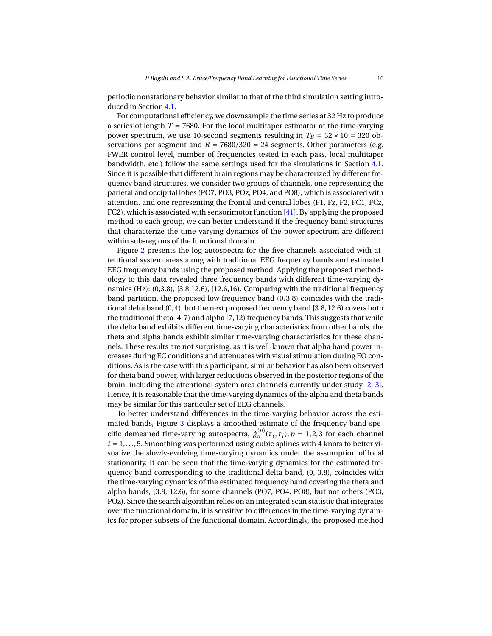periodic nonstationary behavior similar to that of the third simulation setting introduced in Section [4.1.](#page-11-1)

For computational efficiency, we downsample the time series at 32 Hz to produce a series of length *T* = 7680. For the local multitaper estimator of the time-varying power spectrum, we use 10-second segments resulting in  $T_B = 32 \times 10 = 320$  observations per segment and  $B = 7680/320 = 24$  segments. Other parameters (e.g. FWER control level, number of frequencies tested in each pass, local multitaper bandwidth, etc.) follow the same settings used for the simulations in Section [4.1.](#page-11-1) Since it is possible that different brain regions may be characterized by different frequency band structures, we consider two groups of channels, one representing the parietal and occipital lobes (PO7, PO3, POz, PO4, and PO8), which is associated with attention, and one representing the frontal and central lobes (F1, Fz, F2, FC1, FCz, FC2), which is associated with sensorimotor function [\[41\]](#page-32-6). By applying the proposed method to each group, we can better understand if the frequency band structures that characterize the time-varying dynamics of the power spectrum are different within sub-regions of the functional domain.

Figure [2](#page-16-0) presents the log autospectra for the five channels associated with attentional system areas along with traditional EEG frequency bands and estimated EEG frequency bands using the proposed method. Applying the proposed methodology to this data revealed three frequency bands with different time-varying dynamics (Hz): (0,3.8), [3.8,12.6), [12.6,16). Comparing with the traditional frequency band partition, the proposed low frequency band (0, 3.8) coincides with the traditional delta band (0, 4), but the next proposed frequency band [3.8, 12.6) covers both the traditional theta  $[4, 7)$  and alpha  $[7, 12)$  frequency bands. This suggests that while the delta band exhibits different time-varying characteristics from other bands, the theta and alpha bands exhibit similar time-varying characteristics for these channels. These results are not surprising, as it is well-known that alpha band power increases during EC conditions and attenuates with visual stimulation during EO conditions. As is the case with this participant, similar behavior has also been observed for theta band power, with larger reductions observed in the posterior regions of the brain, including the attentional system area channels currently under study [\[2,](#page-30-9) [3\]](#page-30-10). Hence, it is reasonable that the time-varying dynamics of the alpha and theta bands may be similar for this particular set of EEG channels.

To better understand differences in the time-varying behavior across the estimated bands, Figure [3](#page-17-1) displays a smoothed estimate of the frequency-band specific demeaned time-varying autospectra,  $\hat{g}_{u}^{(p)}(\tau_i, \tau_i)$ ,  $p = 1, 2, 3$  for each channel  $i = 1, \ldots, 5$ . Smoothing was performed using cubic splines with 4 knots to better visualize the slowly-evolving time-varying dynamics under the assumption of local stationarity. It can be seen that the time-varying dynamics for the estimated frequency band corresponding to the traditional delta band, (0, 3.8), coincides with the time-varying dynamics of the estimated frequency band covering the theta and alpha bands, [3.8, 12.6), for some channels (PO7, PO4, PO8), but not others (PO3, POz). Since the search algorithm relies on an integrated scan statistic that integrates over the functional domain, it is sensitive to differences in the time-varying dynamics for proper subsets of the functional domain. Accordingly, the proposed method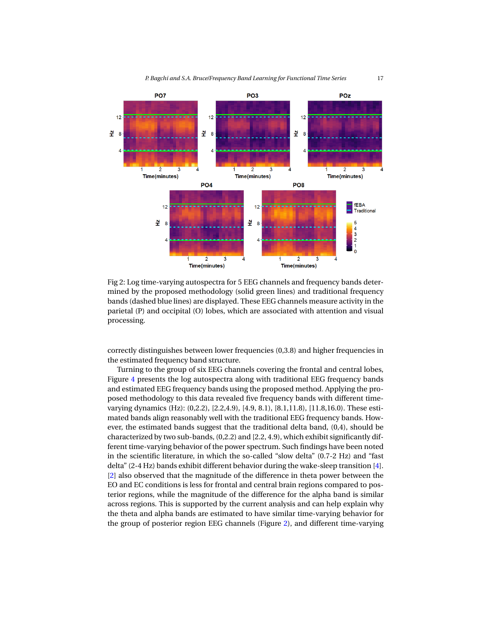<span id="page-16-0"></span>

Fig 2: Log time-varying autospectra for 5 EEG channels and frequency bands determined by the proposed methodology (solid green lines) and traditional frequency bands (dashed blue lines) are displayed. These EEG channels measure activity in the parietal (P) and occipital (O) lobes, which are associated with attention and visual processing.

correctly distinguishes between lower frequencies (0,3.8) and higher frequencies in the estimated frequency band structure.

Turning to the group of six EEG channels covering the frontal and central lobes, Figure [4](#page-18-0) presents the log autospectra along with traditional EEG frequency bands and estimated EEG frequency bands using the proposed method. Applying the proposed methodology to this data revealed five frequency bands with different timevarying dynamics (Hz): (0,2.2), [2.2,4.9), [4.9, 8.1), [8.1,11.8), [11.8,16.0). These estimated bands align reasonably well with the traditional EEG frequency bands. However, the estimated bands suggest that the traditional delta band, (0,4), should be characterized by two sub-bands, (0,2.2) and [2.2, 4.9), which exhibit significantly different time-varying behavior of the power spectrum. Such findings have been noted in the scientific literature, in which the so-called "slow delta" (0.7-2 Hz) and "fast delta" (2-4 Hz) bands exhibit different behavior during the wake-sleep transition [\[4\]](#page-30-11). [\[2\]](#page-30-9) also observed that the magnitude of the difference in theta power between the EO and EC conditions is less for frontal and central brain regions compared to posterior regions, while the magnitude of the difference for the alpha band is similar across regions. This is supported by the current analysis and can help explain why the theta and alpha bands are estimated to have similar time-varying behavior for the group of posterior region EEG channels (Figure [2\)](#page-16-0), and different time-varying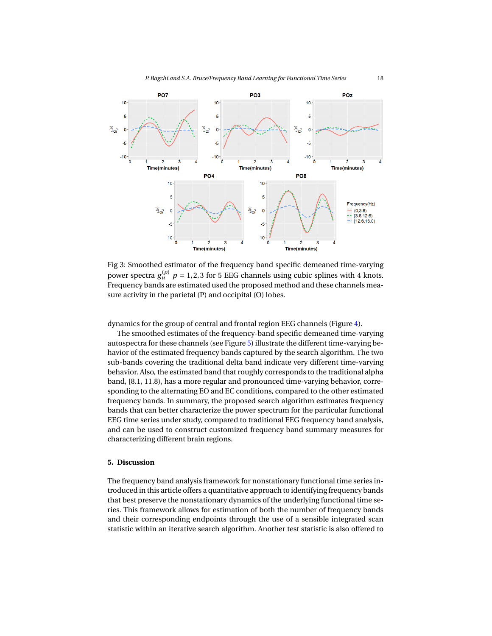<span id="page-17-1"></span>

Fig 3: Smoothed estimator of the frequency band specific demeaned time-varying power spectra  $g_u^{(p)}$   $p = 1,2,3$  for 5 EEG channels using cubic splines with 4 knots. Frequency bands are estimated used the proposed method and these channels measure activity in the parietal (P) and occipital (O) lobes.

dynamics for the group of central and frontal region EEG channels (Figure [4\)](#page-18-0).

The smoothed estimates of the frequency-band specific demeaned time-varying autospectra for these channels (see Figure [5\)](#page-19-0) illustrate the different time-varying behavior of the estimated frequency bands captured by the search algorithm. The two sub-bands covering the traditional delta band indicate very different time-varying behavior. Also, the estimated band that roughly corresponds to the traditional alpha band, [8.1, 11.8), has a more regular and pronounced time-varying behavior, corresponding to the alternating EO and EC conditions, compared to the other estimated frequency bands. In summary, the proposed search algorithm estimates frequency bands that can better characterize the power spectrum for the particular functional EEG time series under study, compared to traditional EEG frequency band analysis, and can be used to construct customized frequency band summary measures for characterizing different brain regions.

# <span id="page-17-0"></span>**5. Discussion**

The frequency band analysis framework for nonstationary functional time series introduced in this article offers a quantitative approach to identifying frequency bands that best preserve the nonstationary dynamics of the underlying functional time series. This framework allows for estimation of both the number of frequency bands and their corresponding endpoints through the use of a sensible integrated scan statistic within an iterative search algorithm. Another test statistic is also offered to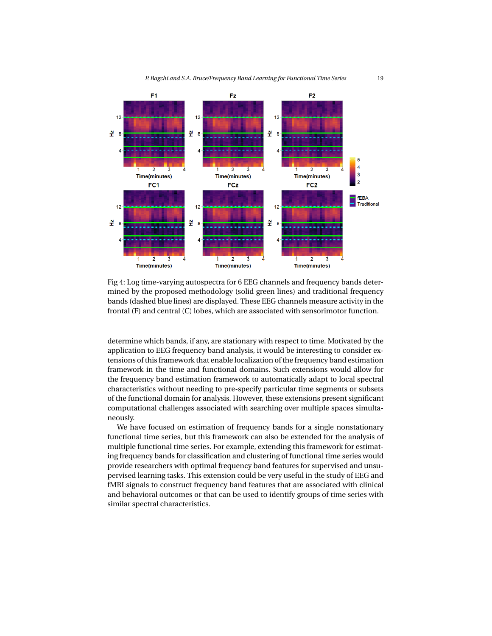<span id="page-18-0"></span>

Fig 4: Log time-varying autospectra for 6 EEG channels and frequency bands determined by the proposed methodology (solid green lines) and traditional frequency bands (dashed blue lines) are displayed. These EEG channels measure activity in the frontal (F) and central (C) lobes, which are associated with sensorimotor function.

determine which bands, if any, are stationary with respect to time. Motivated by the application to EEG frequency band analysis, it would be interesting to consider extensions of this framework that enable localization of the frequency band estimation framework in the time and functional domains. Such extensions would allow for the frequency band estimation framework to automatically adapt to local spectral characteristics without needing to pre-specify particular time segments or subsets of the functional domain for analysis. However, these extensions present significant computational challenges associated with searching over multiple spaces simultaneously.

We have focused on estimation of frequency bands for a single nonstationary functional time series, but this framework can also be extended for the analysis of multiple functional time series. For example, extending this framework for estimating frequency bands for classification and clustering of functional time series would provide researchers with optimal frequency band features for supervised and unsupervised learning tasks. This extension could be very useful in the study of EEG and fMRI signals to construct frequency band features that are associated with clinical and behavioral outcomes or that can be used to identify groups of time series with similar spectral characteristics.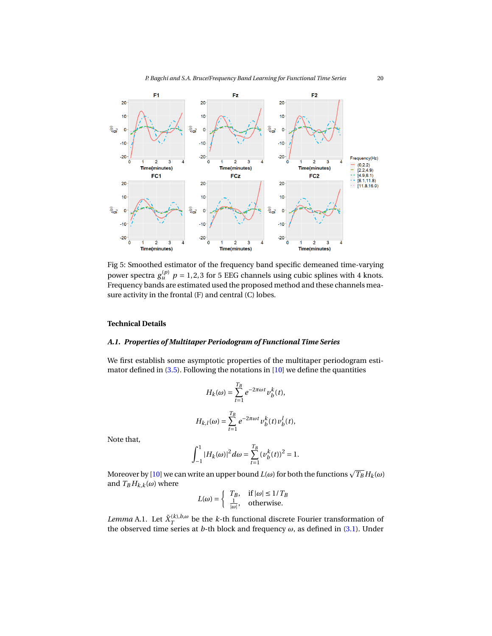<span id="page-19-0"></span>

Fig 5: Smoothed estimator of the frequency band specific demeaned time-varying power spectra  $g_u^{(p)}$   $p = 1,2,3$  for 5 EEG channels using cubic splines with 4 knots. Frequency bands are estimated used the proposed method and these channels measure activity in the frontal (F) and central (C) lobes.

# **Technical Details**

# *A.1. Properties of Multitaper Periodogram of Functional Time Series*

We first establish some asymptotic properties of the multitaper periodogram estimator defined in [\(3.5\)](#page-6-1). Following the notations in [\[10\]](#page-30-12) we define the quantities

$$
H_k(\omega) = \sum_{t=1}^{T_B} e^{-2\pi \omega t} v_b^k(t),
$$
  

$$
H_{k,l}(\omega) = \sum_{t=1}^{T_B} e^{-2\pi \omega t} v_b^k(t) v_b^l(t),
$$

Note that,

$$
\int_{-1}^{1} |H_k(\omega)|^2 d\omega = \sum_{t=1}^{T_B} (\nu_b^k(t))^2 = 1.
$$

Moreover by [\[10\]](#page-30-12) we can write an upper bound  $L(\omega)$  for both the functions  $\sqrt{T_B} H_k(\omega)$ and  $T_B H_{k,k}(\omega)$  where

$$
L(\omega) = \begin{cases} T_B, & \text{if } |\omega| \le 1/T_B \\ \frac{1}{|\omega|}, & \text{otherwise.} \end{cases}
$$

<span id="page-19-1"></span>*Lemma* A.1. Let  $\tilde{X}_T^{(k),b,\omega}$  be the *k*-th functional discrete Fourier transformation of the observed time series at *b*-th block and frequency  $\omega$ , as defined in [\(3.1\)](#page-5-3). Under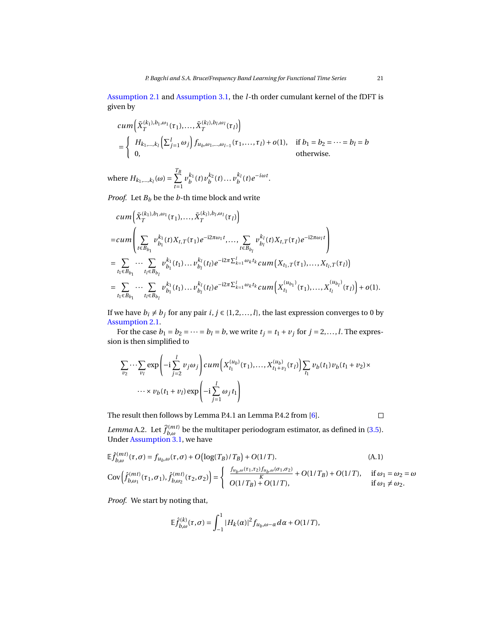[Assumption 2.1](#page-4-0) and [Assumption 3.1,](#page-7-0) the *l*-th order cumulant kernel of the fDFT is given by

$$
cum\left(\tilde{X}_T^{(k_1),b_1,\omega_1}(\tau_1),..., \tilde{X}_T^{(k_l),b_l,\omega_l}(\tau_l)\right)
$$
  
= 
$$
\begin{cases} H_{k_1,...,k_l}(\sum_{j=1}^l \omega_j) f_{u_b,\omega_1,...,\omega_{l-1}}(\tau_1,...,\tau_l) + o(1), & \text{if } b_1 = b_2 = \cdots = b_l = b \\ 0, & \text{otherwise.} \end{cases}
$$

where  $H_{k_1,\dots,k_l}(\omega) = \sum^{T_B}$ *t*=1  $v_b^{k_1}(t)v_b^{k_2}(t)...v_b^{k_l}(t)e^{-i\omega t}$ .

*Proof.* Let  $B_b$  be the  $b$ -th time block and write

$$
cum\left(\tilde{X}_{T}^{(k_{1}),b_{1},\omega_{1}}(\tau_{1}),\ldots,\tilde{X}_{T}^{(k_{l}),b_{l},\omega_{l}}(\tau_{l})\right) = cum\left(\sum_{t\in B_{b_{1}}} v_{b_{1}}^{k_{1}}(t)X_{t,T}(\tau_{1})e^{-i2\pi\omega_{1}t},\ldots,\sum_{t\in B_{b_{l}}} v_{b_{l}}^{k_{l}}(t)X_{t,T}(\tau_{l})e^{-i2\pi\omega_{l}t}\right) = \sum_{t_{1}\in B_{b_{1}}} \cdots \sum_{t_{l}\in B_{b_{l}}} v_{b_{1}}^{k_{1}}(t_{1})\ldots v_{b_{l}}^{k_{l}}(t_{l})e^{-i2\pi\sum_{k=1}^{l}\omega_{k}t_{k}} cum(X_{t_{1},T}(\tau_{1}),\ldots,X_{t_{l},T}(\tau_{l}))
$$
  

$$
= \sum_{t_{1}\in B_{b_{1}}} \cdots \sum_{t_{l}\in B_{b_{l}}} v_{b_{1}}^{k_{1}}(t_{1})\ldots v_{b_{l}}^{k_{l}}(t_{l})e^{-i2\pi\sum_{k=1}^{l}\omega_{k}t_{k}} cum\left(X_{t_{1}}^{(u_{b_{1}})}(\tau_{1}),\ldots,X_{t_{l}}^{(u_{b_{l}})}(\tau_{l})\right) + o(1).
$$

If we have  $b_i \neq b_j$  for any pair  $i, j \in \{1, 2, ..., l\}$ , the last expression converges to 0 by [Assumption 2.1.](#page-4-0)

For the case  $b_1 = b_2 = \cdots = b_l = b$ , we write  $t_j = t_1 + v_j$  for  $j = 2, \ldots, l$ . The expression is then simplified to

$$
\sum_{v_2} \cdots \sum_{v_l} \exp\left(-i \sum_{j=2}^l v_j \omega_j\right) cum\left(X_{t_1}^{(u_b)}(\tau_1), \dots, X_{t_1+v_l}^{(u_b)}(\tau_l)\right) \sum_{t_1} v_b(t_1) v_b(t_1+v_2) \times \cdots \times v_b(t_1+v_l) \exp\left(-i \sum_{j=1}^l \omega_j t_1\right)
$$

The result then follows by Lemma P.4.1 an Lemma P.4.2 from [\[6\]](#page-30-13).

 $\Box$ 

<span id="page-20-0"></span>*Lemma* A.2. Let  $\hat{f}_{b,\omega}^{(mt)}$  be the multitaper periodogram estimator, as defined in [\(3.5\)](#page-6-1). Under [Assumption 3.1,](#page-7-0) we have

$$
\mathbb{E}\hat{f}_{b,\omega}^{(mt)}(\tau,\sigma) = f_{u_b,\omega}(\tau,\sigma) + O\left(\log(T_B)/T_B\right) + O(1/T). \tag{A.1}
$$
\n
$$
\text{Cov}\left(\hat{f}_{b,\omega_1}^{(mt)}(\tau_1,\sigma_1), \hat{f}_{b,\omega_2}^{(mt)}(\tau_2,\sigma_2)\right) = \begin{cases} \frac{f_{u_b,\omega}(\tau_1,\tau_2)f_{u_b,\omega}(\sigma_1,\sigma_2)}{K} + O(1/T_B) + O(1/T), & \text{if } \omega_1 = \omega_2 = \omega \\ O(1/T_B) + O(1/T), & \text{if } \omega_1 \neq \omega_2. \end{cases}
$$

*Proof.* We start by noting that,

$$
\mathbb{E}\widehat{f}_{b,\omega}^{(k)}(\tau,\sigma)=\int_{-1}^{1}|H_k(\alpha)|^2f_{u_b,\omega-\alpha}d\alpha+O(1/T),
$$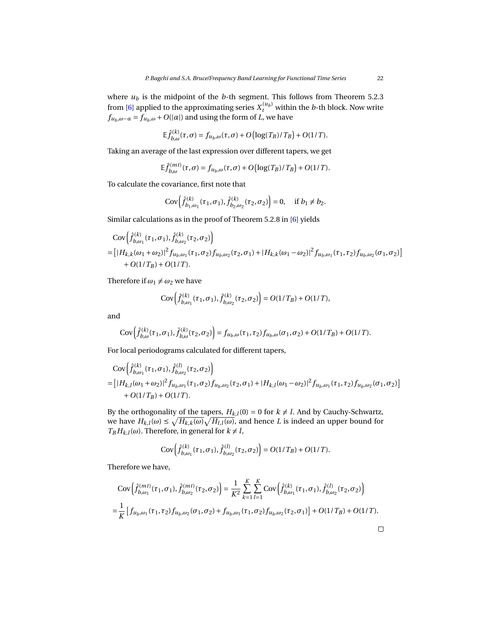where  $u_b$  is the midpoint of the *b*-th segment. This follows from Theorem 5.2.3 from [\[6\]](#page-30-13) applied to the approximating series  $X_t^{(u_b)}$  within the *b*-th block. Now write  $f_{u_b,\omega-\alpha} = f_{u_b,\omega} + O(|\alpha|)$  and using the form of *L*, we have

$$
\mathbb{E}\hat{f}_{b,\omega}^{(k)}(\tau,\sigma) = f_{u_b,\omega}(\tau,\sigma) + O\big(\log(T_B)/T_B\big) + O(1/T).
$$

Taking an average of the last expression over different tapers, we get

$$
\mathbb{E}\hat{f}_{b,\omega}^{(mt)}(\tau,\sigma) = f_{u_b,\omega}(\tau,\sigma) + O\big(\log(T_B)/T_B\big) + O(1/T).
$$

To calculate the covariance, first note that

(*mt*)

$$
Cov\left(\hat{f}_{b_1,\omega_1}^{(k)}(\tau_1,\sigma_1),\hat{f}_{b_2,\omega_2}^{(k)}(\tau_2,\sigma_2)\right)=0, \quad \text{if } b_1 \neq b_2.
$$

Similar calculations as in the proof of Theorem 5.2.8 in [\[6\]](#page-30-13) yields

$$
\begin{split} &\text{Cov}\left(\hat{f}_{b,\omega_{1}}^{(k)}(\tau_{1},\sigma_{1}),\hat{f}_{b,\omega_{2}}^{(k)}(\tau_{2},\sigma_{2})\right) \\ &=\left[\left|H_{k,k}(\omega_{1}+\omega_{2})\right|^{2}f_{u_{b},\omega_{1}}(\tau_{1},\sigma_{2})f_{u_{b},\omega_{2}}(\tau_{2},\sigma_{1})\right.\\ &\left.+O(1/T_{B})+O(1/T).\right] \\ &+\text{O}(1/T_{B})+O(1/T). \end{split}
$$

Therefore if  $\omega_1 \neq \omega_2$  we have

$$
Cov\bigg(\hat{f}_{b,\omega_1}^{(k)}(\tau_1,\sigma_1),\hat{f}_{b,\omega_2}^{(k)}(\tau_2,\sigma_2)\bigg)=O(1/T_B)+O(1/T),
$$

and

$$
Cov\Big(\hat{f}_{b,\omega}^{(k)}(\tau_1,\sigma_1),\hat{f}_{b,\omega}^{(k)}(\tau_2,\sigma_2)\Big) = f_{u_b,\omega}(\tau_1,\tau_2)f_{u_b,\omega}(\sigma_1,\sigma_2) + O(1/T_B) + O(1/T).
$$

For local periodograms calculated for different tapers,

$$
\begin{split} &\text{Cov}\left(\hat{f}_{b,\omega_{1}}^{(k)}(\tau_{1},\sigma_{1}),\hat{f}_{b,\omega_{2}}^{(l)}(\tau_{2},\sigma_{2})\right) \\ &= \left[|H_{k,l}(\omega_{1}+\omega_{2})|^{2}f_{u_{b},\omega_{1}}(\tau_{1},\sigma_{2})f_{u_{b},\omega_{2}}(\tau_{2},\sigma_{1})+|H_{k,l}(\omega_{1}-\omega_{2})|^{2}f_{u_{b},\omega_{1}}(\tau_{1},\tau_{2})f_{u_{b},\omega_{2}}(\sigma_{1},\sigma_{2})\right] \\ &+O(1/T_{B})+O(1/T). \end{split}
$$

By the orthogonality of the tapers,  $H_{k,l}(0) = 0$  for  $k \neq l$ . And by Cauchy-Schwartz, we have  $H_{k,l}(\omega) \leq \sqrt{H_{k,k}(\omega)}\sqrt{H_{l,l}(\omega)}$ , and hence *L* is indeed an upper bound for  $T_B H_{k,l}(\omega)$ . Therefore, in general for  $k \neq l$ ,

$$
Cov\Big(\hat{f}_{b,\omega_1}^{(k)}(\tau_1,\sigma_1),\hat{f}_{b,\omega_2}^{(l)}(\tau_2,\sigma_2)\Big)=O(1/T_B)+O(1/T).
$$

Therefore we have,

$$
\text{Cov}\left(\hat{f}_{b,\omega_1}^{(mt)}(\tau_1,\sigma_1),\hat{f}_{b,\omega_2}^{(mt)}(\tau_2,\sigma_2)\right) = \frac{1}{K^2} \sum_{k=1}^K \sum_{l=1}^K \text{Cov}\left(\hat{f}_{b,\omega_1}^{(k)}(\tau_1,\sigma_1),\hat{f}_{b,\omega_2}^{(l)}(\tau_2,\sigma_2)\right)
$$
  

$$
= \frac{1}{K} \left[f_{u_b,\omega_1}(\tau_1,\tau_2)f_{u_b,\omega_2}(\sigma_1,\sigma_2) + f_{u_b,\omega_1}(\tau_1,\sigma_2)f_{u_b,\omega_2}(\tau_2,\sigma_1)\right] + O(1/T_B) + O(1/T).
$$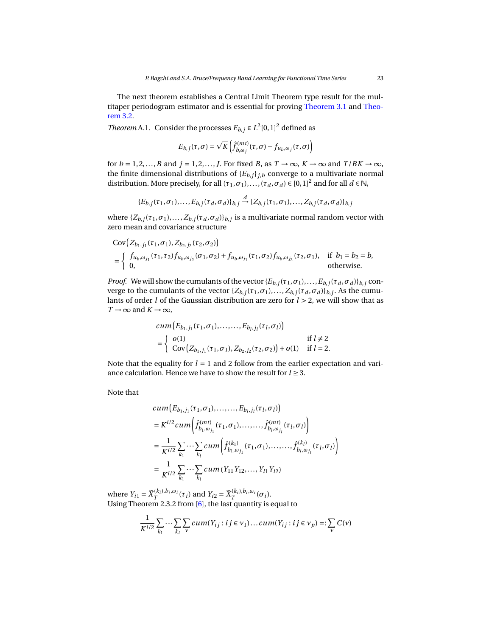The next theorem establishes a Central Limit Theorem type result for the multitaper periodogram estimator and is essential for proving [Theorem 3.1](#page-8-0) and [Theo](#page-8-1)[rem 3.2.](#page-8-1)

<span id="page-22-0"></span>*Theorem* A.1. Consider the processes  $E_{b,j} \in L^2[0,1]^2$  defined as

$$
E_{b,j}(\tau,\sigma) = \sqrt{K} \left( \hat{f}_{b,\omega_j}^{(mt)}(\tau,\sigma) - f_{u_b,\omega_j}(\tau,\sigma) \right)
$$

for  $b = 1, 2, ..., B$  and  $j = 1, 2, ..., J$ . For fixed *B*, as  $T \rightarrow \infty$ ,  $K \rightarrow \infty$  and  $T/BK \rightarrow \infty$ , the finite dimensional distributions of  ${E_{b,j}}_{j,b}$  converge to a multivariate normal distribution. More precisely, for all  $(\tau_1, \sigma_1), ..., (\tau_d, \sigma_d) \in [0, 1]^2$  and for all  $d \in \mathbb{N}$ ,

$$
\{E_{b,j}(\tau_1, \sigma_1), \ldots, E_{b,j}(\tau_d, \sigma_d)\}_{b,j} \stackrel{d}{\to} \{Z_{b,j}(\tau_1, \sigma_1), \ldots, Z_{b,j}(\tau_d, \sigma_d)\}_{b,j}
$$

where  $\{Z_{b,j}(\tau_1,\sigma_1),\ldots,Z_{b,j}(\tau_d,\sigma_d)\}_{b,j}$  is a multivariate normal random vector with zero mean and covariance structure

$$
Cov(Z_{b_1,j_1}(\tau_1, \sigma_1), Z_{b_2,j_2}(\tau_2, \sigma_2))
$$
  
= 
$$
\begin{cases} f_{u_b,\omega_{j_1}}(\tau_1, \tau_2) f_{u_b,\omega_{j_2}}(\sigma_1, \sigma_2) + f_{u_b,\omega_{j_1}}(\tau_1, \sigma_2) f_{u_b,\omega_{j_2}}(\tau_2, \sigma_1), & \text{if } b_1 = b_2 = b, \\ 0, & \text{otherwise.} \end{cases}
$$

*Proof.* We will show the cumulants of the vector  $\{E_{b,j}(\tau_1, \sigma_1), \ldots, E_{b,j}(\tau_d, \sigma_d)\}_{b,j}$  converge to the cumulants of the vector  $\{Z_{b,j}(\tau_1,\sigma_1),\ldots,Z_{b,j}(\tau_d,\sigma_d)\}_{b,j}$ . As the cumulants of order *l* of the Gaussian distribution are zero for *l* > 2, we will show that as  $T \rightarrow \infty$  and  $K \rightarrow \infty$ ,

$$
cum(E_{b_1,j_1}(\tau_1, \sigma_1), \dots, \dots, E_{b_l,j_l}(\tau_l, \sigma_l))
$$
  
= 
$$
\begin{cases} o(1) & \text{if } l \neq 2 \\ Cov(Z_{b_1,j_1}(\tau_1, \sigma_1), Z_{b_2,j_2}(\tau_2, \sigma_2)) + o(1) & \text{if } l = 2. \end{cases}
$$

Note that the equality for  $l = 1$  and 2 follow from the earlier expectation and variance calculation. Hence we have to show the result for *l* ≥ 3.

Note that

$$
cum(E_{b_1,j_1}(\tau_1, \sigma_1), \dots, E_{b_l,j_l}(\tau_l, \sigma_l))
$$
  
=  $K^{l/2} cum \left( \hat{f}_{b_1,\omega_{j_1}}^{(mt)}(\tau_1, \sigma_1), \dots, \hat{f}_{b_l,\omega_{j_l}}^{(mt)}(\tau_l, \sigma_l) \right)$   
=  $\frac{1}{K^{l/2}} \sum_{k_1} \cdots \sum_{k_l} cum \left( \hat{f}_{b_1,\omega_{j_1}}^{(k_1)}(\tau_1, \sigma_1), \dots, \hat{f}_{b_l,\omega_{j_l}}^{(k_l)}(\tau_l, \sigma_l) \right)$   
=  $\frac{1}{K^{l/2}} \sum_{k_1} \cdots \sum_{k_l} cum(Y_{11}Y_{12}, \dots, Y_{l1}Y_{l2})$ 

where  $Y_{i1} = \widetilde{X}_T^{(k_i), b_i, \omega_i}(\tau_i)$  and  $Y_{i2} = \widetilde{X}_T^{(k_i), b_i, \omega_i}(\sigma_i)$ . Using Theorem 2.3.2 from [\[6\]](#page-30-13), the last quantity is equal to

$$
\frac{1}{K^{1/2}}\sum_{k_1}\cdots\sum_{k_l}\sum_{v}cum(Y_{ij}:ij\in v_1)\ldots cum(Y_{ij}:ij\in v_p)=:\sum_{v}C(v)
$$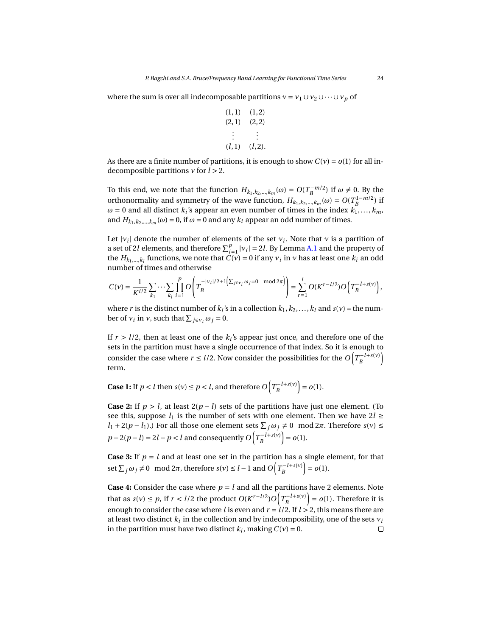where the sum is over all indecomposable partitions  $v = v_1 \cup v_2 \cup \cdots \cup v_p$  of

$$
\begin{array}{lll}\n(1,1) & (1,2) \\
(2,1) & (2,2) \\
\vdots & \vdots \\
(l,1) & (l,2).\n\end{array}
$$

As there are a finite number of partitions, it is enough to show  $C(\gamma) = o(1)$  for all indecomposible partitions *ν* for *l* > 2.

To this end, we note that the function  $H_{k_1,k_2,\dots,k_m}(\omega) = O(T_B^{-m/2})$  if  $\omega \neq 0$ . By the orthonormality and symmetry of the wave function,  $H_{k_1,k_2,...,k_m}(\omega) = O(T_B^{1-m/2})$  if  $\omega = 0$  and all distinct  $k_i$ 's appear an even number of times in the index  $k_1, \ldots, k_m$ , and  $H_{k_1,k_2,...,k_m}(\omega) = 0$ , if  $\omega = 0$  and any  $k_i$  appear an odd number of times.

Let  $|v_i|$  denote the number of elements of the set  $v_i$ . Note that  $v$  is a partition of a set of 2*l* elements, and therefore  $\sum_{i=1}^{p} |v_i| = 2l$ . By Lemma [A.1](#page-19-1) and the property of the  $H_{k_1,\dots,k_l}$  functions, we note that  $C(v) = 0$  if any  $v_i$  in  $v$  has at least one  $k_i$  an odd number of times and otherwise

$$
C(v) = \frac{1}{K^{l/2}} \sum_{k_1} \cdots \sum_{k_l} \prod_{i=1}^p O\left(T_B^{-|v_i|/2 + 1(\sum_{j \in v_i} \omega_j = 0 \mod 2\pi)}\right) = \sum_{r=1}^l O(K^{r-l/2}) O\left(T_B^{-l+s(v)}\right),
$$

where *r* is the distinct number of  $k_i$ 's in a collection  $k_1, k_2, \ldots, k_l$  and  $s(v)$  = the number of  $v_i$  in *v*, such that  $\sum_{j \in v_i} \omega_j = 0$ .

If  $r > l/2$ , then at least one of the  $k_i$ 's appear just once, and therefore one of the sets in the partition must have a single occurrence of that index. So it is enough to consider the case where *r* ≤ *l*/2. Now consider the possibilities for the  $O(T_B^{-l+s(v)})$ term.

**Case 1:** If  $p < l$  then  $s(v) \le p < l$ , and therefore  $O(T_B^{-l+s(v)}) = o(1)$ .

**Case 2:** If  $p > l$ , at least  $2(p - l)$  sets of the partitions have just one element. (To see this, suppose  $l_1$  is the number of sets with one element. Then we have  $2l \geq$ *l*<sub>1</sub> + 2(*p* − *l*<sub>1</sub>).) For all those one element sets  $\sum_j \omega_j \neq 0 \mod 2\pi$ . Therefore *s*(*v*) ≤  $p - 2(p - l) = 2l - p < l$  and consequently  $O(T_B^{-l + s(v)}) = o(1)$ .

**Case 3:** If  $p = l$  and at least one set in the partition has a single element, for that set  $\sum_j \omega_j \neq 0 \mod 2\pi$ , therefore  $s(v) \leq l-1$  and  $O\left(T_B^{-l+s(v)}\right) = o(1)$ .

**Case 4:** Consider the case where  $p = l$  and all the partitions have 2 elements. Note that as  $s(v) \le p$ , if  $r < l/2$  the product  $O(K^{r-l/2})O(T_B^{-l+s(v)}) = o(1)$ . Therefore it is enough to consider the case where *l* is even and  $r = l/2$ . If  $l > 2$ , this means there are at least two distinct  $k_i$  in the collection and by indecomposibility, one of the sets  $v_i$ in the partition must have two distinct  $k_i$ , making  $C(v) = 0$ .  $\Box$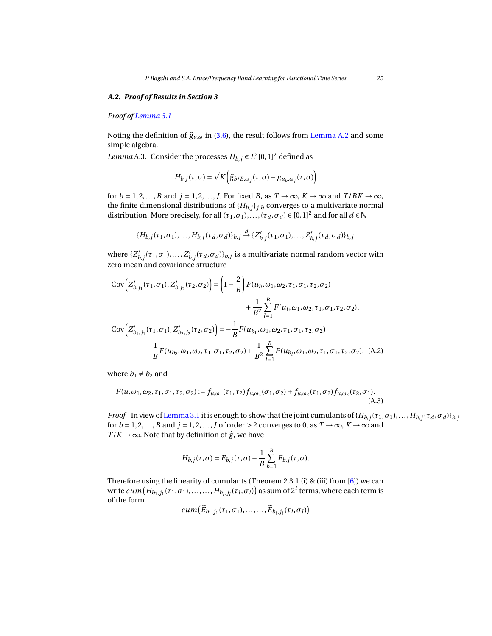### *A.2. Proof of Results in Section 3*

*Proof of [Lemma 3.1](#page-7-1)*

Noting the definition of  $\hat{g}_{u,\omega}$  in [\(3.6\)](#page-6-0), the result follows from [Lemma A.2](#page-20-0) and some simple algebra.

*Lemma* A.3. Consider the processes  $H_{b,j} \in L^2[0,1]^2$  defined as

$$
H_{b,j}(\tau,\sigma) = \sqrt{K} \Big( \widehat{g}_{b/B,\omega_j}(\tau,\sigma) - g_{u_b,\omega_j}(\tau,\sigma) \Big)
$$

for  $b = 1, 2, ..., B$  and  $j = 1, 2, ..., J$ . For fixed *B*, as  $T \rightarrow \infty$ ,  $K \rightarrow \infty$  and  $T/BK \rightarrow \infty$ , the finite dimensional distributions of  ${H_{b,j}}_{j,b}$  converges to a multivariate normal distribution. More precisely, for all  $(\tau_1, \sigma_1),..., (\tau_d, \sigma_d) \in [0,1]^2$  and for all  $d \in \mathbb{N}$ 

$$
\{H_{b,j}(\tau_1,\sigma_1),\ldots,H_{b,j}(\tau_d,\sigma_d)\}_{b,j} \xrightarrow{d} \{Z'_{b,j}(\tau_1,\sigma_1),\ldots,Z'_{b,j}(\tau_d,\sigma_d)\}_{b,j}
$$

where  $\{Z'_k\}$ *b*,*j*</sub>( $\tau_1$ *,*  $\sigma_1$ )*,...,*  $Z'_k$  $\int_{b,j}^{\prime} (\tau_d, \sigma_d) \}_{b,j}$  is a multivariate normal random vector with zero mean and covariance structure

$$
Cov\Big(Z'_{b,j_1}(\tau_1,\sigma_1), Z'_{b,j_2}(\tau_2,\sigma_2)\Big) = \left(1 - \frac{2}{B}\right) F(u_b, \omega_1, \omega_2, \tau_1, \sigma_1, \tau_2, \sigma_2)
$$
  
+ 
$$
\frac{1}{B^2} \sum_{l=1}^{B} F(u_l, \omega_1, \omega_2, \tau_1, \sigma_1, \tau_2, \sigma_2).
$$

$$
Cov\Big(Z'_{b_1,j_1}(\tau_1,\sigma_1), Z'_{b_2,j_2}(\tau_2,\sigma_2)\Big) = -\frac{1}{B} F(u_{b_1}, \omega_1, \omega_2, \tau_1, \sigma_1, \tau_2, \sigma_2)
$$

$$
-\frac{1}{B} F(u_{b_2}, \omega_1, \omega_2, \tau_1, \sigma_1, \tau_2, \sigma_2) + \frac{1}{B^2} \sum_{l=1}^{B} F(u_{b_l}, \omega_1, \omega_2, \tau_1, \sigma_1, \tau_2, \sigma_2), \quad (A.2)
$$

where  $b_1 \neq b_2$  and

$$
F(u, \omega_1, \omega_2, \tau_1, \sigma_1, \tau_2, \sigma_2) := f_{u, \omega_1}(\tau_1, \tau_2) f_{u, \omega_2}(\sigma_1, \sigma_2) + f_{u, \omega_2}(\tau_1, \sigma_2) f_{u, \omega_2}(\tau_2, \sigma_1).
$$
\n(A.3)

*Proof.* In view of [Lemma 3.1](#page-7-1) it is enough to show that the joint cumulants of  $\{H_{b,j}(\tau_1,\sigma_1),\ldots,H_{b,j}(\tau_d,\sigma_d)\}_{b,j}$ for  $b = 1, 2, ..., B$  and  $j = 1, 2, ..., J$  of order > 2 converges to 0, as  $T \rightarrow \infty$ ,  $K \rightarrow \infty$  and  $T/K \to \infty$ . Note that by definition of  $\hat{g}$ , we have

$$
H_{b,j}(\tau,\sigma) = E_{b,j}(\tau,\sigma) - \frac{1}{B} \sum_{b=1}^{B} E_{b,j}(\tau,\sigma).
$$

Therefore using the linearity of cumulants (Theorem 2.3.1 (i) & (iii) from [\[6\]](#page-30-13)) we can  $w$ rite  $cum\left(H_{b_1,j_1}(\tau_1,\sigma_1),\ldots, \ldots,H_{b_l,j_l}(\tau_l,\sigma_l)\right)$  as sum of  $2^l$  terms, where each term is of the form

 $cum\left(\widetilde{E}_{b_1,j_1}(\tau_1,\sigma_1),\ldots,\ldots,\widetilde{E}_{b_l,j_l}(\tau_l,\sigma_l)\right)$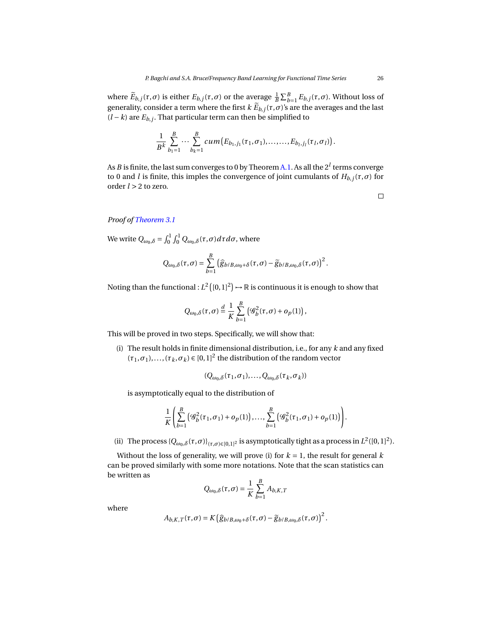where  $\widetilde{E}_{b,j}(\tau,\sigma)$  is either  $E_{b,j}(\tau,\sigma)$  or the average  $\frac{1}{B}\sum_{b=1}^{B}E_{b,j}(\tau,\sigma)$ . Without loss of generality, consider a term where the first  $k E_{b,j}(\tau, \sigma)$ 's are the averages and the last  $(l - k)$  are  $E_{b,j}$ . That particular term can then be simplified to

$$
\frac{1}{B^k}\sum_{b_1=1}^B\cdots\sum_{b_k=1}^B cum(E_{b_1,j_1}(\tau_1,\sigma_1),\ldots,\ldots,E_{b_l,j_l}(\tau_l,\sigma_l)).
$$

As *B* is finite, the last sum converges to 0 by Theorem [A.1.](#page-22-0) As all the 2*<sup>l</sup>* terms converge to 0 and *l* is finite, this imples the convergence of joint cumulants of *Hb*,*<sup>j</sup>* (*τ*,*σ*) for order *l* > 2 to zero.

 $\Box$ 

# *Proof of [Theorem 3.1](#page-8-0)*

We write  $Q_{\omega_0, \delta} = \int_0^1 \int_0^1 Q_{\omega_0, \delta}(\tau, \sigma) d\tau d\sigma$ , where

$$
Q_{\omega_0,\delta}(\tau,\sigma)=\sum_{b=1}^B\left(\widehat{g}_{b/B,\omega_0+\delta}(\tau,\sigma)-\widetilde{g}_{b/B,\omega_0,\delta}(\tau,\sigma)\right)^2.
$$

Noting than the functional :  $L^2\left([0,1]^2\right) \mapsto \mathbb{R}$  is continuous it is enough to show that

$$
Q_{\omega_0,\delta}(\tau,\sigma) \stackrel{d}{=} \frac{1}{K} \sum_{b=1}^B \left( \mathcal{G}_b^2(\tau,\sigma) + o_p(1) \right),
$$

This will be proved in two steps. Specifically, we will show that:

(i) The result holds in finite dimensional distribution, i.e., for any *k* and any fixed  $(\tau_1, \sigma_1), \ldots, (\tau_k, \sigma_k) \in [0, 1]^2$  the distribution of the random vector

$$
(Q_{\omega_0,\delta}(\tau_1,\sigma_1),\ldots,Q_{\omega_0,\delta}(\tau_k,\sigma_k))
$$

is asymptotically equal to the distribution of

$$
\frac{1}{K}\left(\sum_{b=1}^B \left(\mathcal{G}_b^2(\tau_1,\sigma_1) + o_p(1)\right),\ldots,\sum_{b=1}^B \left(\mathcal{G}_b^2(\tau_1,\sigma_1) + o_p(1)\right)\right).
$$

(ii) The process  $\{Q_{\omega_0,\delta}(\tau,\sigma)\}_{(\tau,\sigma)\in[0,1]^2}$  is asymptotically tight as a process in  $L^2([0,1]^2)$ .

Without the loss of generality, we will prove (i) for  $k = 1$ , the result for general  $k$ can be proved similarly with some more notations. Note that the scan statistics can be written as

$$
Q_{\omega_0, \delta}(\tau, \sigma) = \frac{1}{K} \sum_{b=1}^{B} A_{b, K, T}
$$

where

$$
A_{b,K,T}(\tau,\sigma)=K\big(\widehat{g}_{b/B,\omega_0+\delta}(\tau,\sigma)-\widetilde{g}_{b/B,\omega_0,\delta}(\tau,\sigma)\big)^2.
$$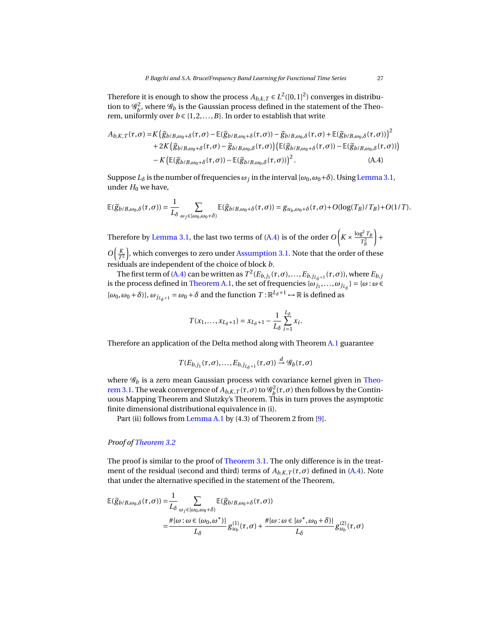Therefore it is enough to show the process  $A_{b,k,T} \in L^2([0,1]^2)$  converges in distribution to  $\mathscr{G}_b^2$ , where  $\mathscr{G}_b$  is the Gaussian process defined in the statement of the Theorem, uniformly over  $b \in \{1, 2, ..., B\}$ . In order to establish that write

$$
A_{b,K,T}(\tau,\sigma) = K \left( \widehat{g}_{b/B,\omega_0+\delta}(\tau,\sigma) - \mathbb{E}(\widehat{g}_{b/B,\omega_0+\delta}(\tau,\sigma)) - \widetilde{g}_{b/B,\omega_0,\delta}(\tau,\sigma) + \mathbb{E}(\widetilde{g}_{b/B,\omega_0,\delta}(\tau,\sigma)) \right)^2
$$
  
+2K  $\left( \widehat{g}_{b/B,\omega_0+\delta}(\tau,\sigma) - \widetilde{g}_{b/B,\omega_0,\delta}(\tau,\sigma) \right) \left( \mathbb{E}(\widehat{g}_{b/B,\omega_0+\delta}(\tau,\sigma)) - \mathbb{E}(\widetilde{g}_{b/B,\omega_0,\delta}(\tau,\sigma)) \right)$   
-K  $\left( \mathbb{E}(\widehat{g}_{b/B,\omega_0+\delta}(\tau,\sigma)) - \mathbb{E}(\widetilde{g}_{b/B,\omega_0,\delta}(\tau,\sigma)) \right)^2$ . (A.4)

Suppose  $L_{\delta}$  is the number of frequencies  $\omega_j$  in the interval  $[\omega_0, \omega_0 + \delta)$ . Using [Lemma 3.1,](#page-7-1) under  $H_0$  we have,

$$
\mathbb{E}(\widetilde{g}_{b/B,\omega_0,\delta}(\tau,\sigma)) = \frac{1}{L_{\delta}} \sum_{\omega_j \in [\omega_0,\omega_0+\delta)} \mathbb{E}(\widehat{g}_{b/B,\omega_0+\delta}(\tau,\sigma)) = g_{u_b,\omega_0+\delta}(\tau,\sigma) + O(\log(T_B)/T_B) + O(1/T).
$$

Therefore by [Lemma 3.1,](#page-7-1) the last two terms of [\(A.4\)](#page-26-0) is of the order  $O\left(K \times \frac{\log^2 T_B}{\tau^2}\right)$  $T_B^2$  $\vert$ 

 $O\left(\frac{K}{T^2}\right)$  $\left(\frac{K}{T^2}\right)$ , which converges to zero under [Assumption 3.1.](#page-7-0) Note that the order of these residuals are independent of the choice of block *b*.

The first term of [\(A.4\)](#page-26-0) can be written as  $T^2(E_{b,j_1}(\tau,\sigma),...,E_{b,j_{L_{\delta}+1}}(\tau,\sigma))$ , where  $E_{b,j_1}$ is the process defined in [Theorem A.1,](#page-22-0) the set of frequencies  $\{\omega_{j_1},...,\omega_{j_{L_{\delta}}}\} = \{\omega : \omega \in$  $[\omega_0, \omega_0 + \delta]$ ,  $\omega_{j_{L_\delta+1}} = \omega_0 + \delta$  and the function  $T : \mathbb{R}^{L_\delta+1} \to \mathbb{R}$  is defined as

<span id="page-26-0"></span>
$$
T(x_1,\ldots,x_{L_{\delta}+1})=x_{L_{\delta}+1}-\frac{1}{L_{\delta}}\sum_{i=1}^{L_{\delta}}x_i.
$$

Therefore an application of the Delta method along with Theorem [A.1](#page-22-0) guarantee

$$
T(E_{b,j_1}(\tau,\sigma),\ldots,E_{b,j_{L_{\delta}+1}}(\tau,\sigma)) \stackrel{d}{\rightarrow} \mathscr{G}_b(\tau,\sigma)
$$

where  $\mathscr{G}_b$  is a zero mean Gaussian process with covariance kernel given in [Theo](#page-8-0)[rem 3.1.](#page-8-0) The weak convergence of  $A_{b,K,T}(\tau,\sigma)$  to  $\mathscr{G}_{b}^{2}(\tau,\sigma)$  then follows by the Continuous Mapping Theorem and Slutzky's Theorem. This in turn proves the asymptotic finite dimensional distributional equivalence in (i).

Part (ii) follows from [Lemma A.1](#page-19-1) by (4.3) of Theorem 2 from [\[9\]](#page-30-14).

# *Proof of [Theorem 3.2](#page-8-1)*

The proof is similar to the proof of [Theorem 3.1.](#page-8-0) The only difference is in the treatment of the residual (second and third) terms of  $A_{b,K,T}(\tau,\sigma)$  defined in [\(A.4\)](#page-26-0). Note that under the alternative specified in the statement of the Theorem,

$$
\mathbb{E}(\widetilde{g}_{b/B,\omega_0,\delta}(\tau,\sigma)) = \frac{1}{L_{\delta}} \sum_{\omega_j \in [\omega_0,\omega_0+\delta)} \mathbb{E}(\widehat{g}_{b/B,\omega_0+\delta}(\tau,\sigma))
$$
  
= 
$$
\frac{\#\{\omega : \omega \in (\omega_0,\omega^*)\}}{L_{\delta}} g_{u_b}^{(1)}(\tau,\sigma) + \frac{\#\{\omega : \omega \in [\omega^*,\omega_0+\delta)\}}{L_{\delta}} g_{u_b}^{(2)}(\tau,\sigma)
$$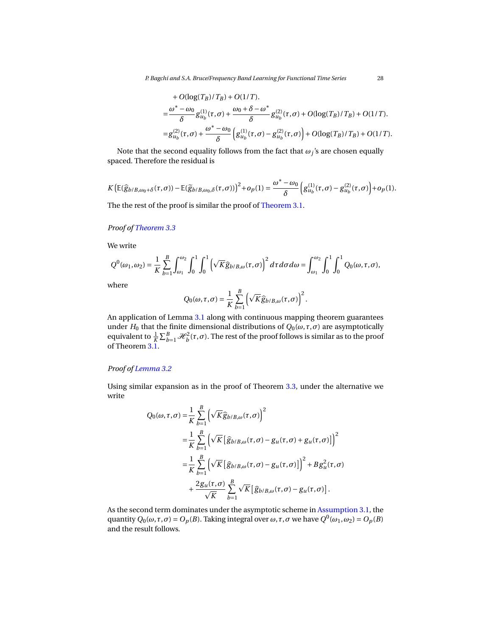*P. Bagchi and S.A. Bruce/Frequency Band Learning for Functional Time Series* 28

+ 
$$
O(\log(T_B)/T_B)
$$
 +  $O(1/T)$ .  
\n= $\frac{\omega^* - \omega_0}{\delta} g_{u_b}^{(1)}(\tau, \sigma) + \frac{\omega_0 + \delta - \omega^*}{\delta} g_{u_b}^{(2)}(\tau, \sigma) + O(\log(T_B)/T_B) + O(1/T)$ .  
\n= $g_{u_b}^{(2)}(\tau, \sigma) + \frac{\omega^* - \omega_0}{\delta} \left( g_{u_b}^{(1)}(\tau, \sigma) - g_{u_b}^{(2)}(\tau, \sigma) \right) + O(\log(T_B)/T_B) + O(1/T)$ .

Note that the second equality follows from the fact that  $\omega_j$ 's are chosen equally spaced. Therefore the residual is

$$
K\big(\mathbb{E}(\widehat{g}_{b/B,\omega_0+\delta}(\tau,\sigma))-\mathbb{E}(\widetilde{g}_{b/B,\omega_0,\delta}(\tau,\sigma))\big)^2+o_p(1)=\frac{\omega^*-\omega_0}{\delta}\bigg(g_{u_b}^{(1)}(\tau,\sigma)-g_{u_b}^{(2)}(\tau,\sigma)\bigg)+o_p(1).
$$

The the rest of the proof is similar the proof of [Theorem 3.1.](#page-8-0)

# *Proof of [Theorem 3.3](#page-11-2)*

We write

$$
Q^0(\omega_1,\omega_2)=\frac{1}{K}\sum_{b=1}^B\int_{\omega_1}^{\omega_2}\int_0^1\int_0^1\left(\sqrt{K}\widehat{g}_{b/B,\omega}(\tau,\sigma)\right)^2d\tau d\sigma d\omega=\int_{\omega_1}^{\omega_2}\int_0^1\int_0^1Q_0(\omega,\tau,\sigma),
$$

where

$$
Q_0(\omega,\tau,\sigma)=\frac{1}{K}\sum_{b=1}^B\left(\sqrt{K}\widehat{g}_{b/B,\omega}(\tau,\sigma)\right)^2.
$$

An application of Lemma [3.1](#page-7-1) along with continuous mapping theorem guarantees under  $H_0$  that the finite dimensional distributions of  $Q_0(\omega, \tau, \sigma)$  are asymptotically equivalent to  $\frac{1}{K}\sum_{b=1}^B\mathcal{H}_b^2(\tau,\sigma).$  The rest of the proof follows is similar as to the proof of Theorem [3.1.](#page-8-0)

# *Proof of [Lemma 3.2](#page-11-3)*

Using similar expansion as in the proof of Theorem [3.3,](#page-11-2) under the alternative we write

$$
Q_0(\omega, \tau, \sigma) = \frac{1}{K} \sum_{b=1}^B \left( \sqrt{K} \hat{g}_{b/B, \omega}(\tau, \sigma) \right)^2
$$
  
\n
$$
= \frac{1}{K} \sum_{b=1}^B \left( \sqrt{K} \left[ \hat{g}_{b/B, \omega}(\tau, \sigma) - g_u(\tau, \sigma) + g_u(\tau, \sigma) \right] \right)^2
$$
  
\n
$$
= \frac{1}{K} \sum_{b=1}^B \left( \sqrt{K} \left[ \hat{g}_{b/B, \omega}(\tau, \sigma) - g_u(\tau, \sigma) \right] \right)^2 + B g_u^2(\tau, \sigma)
$$
  
\n
$$
+ \frac{2g_u(\tau, \sigma)}{\sqrt{K}} \sum_{b=1}^B \sqrt{K} \left[ \hat{g}_{b/B, \omega}(\tau, \sigma) - g_u(\tau, \sigma) \right].
$$

As the second term dominates under the asymptotic scheme in [Assumption 3.1,](#page-7-0) the quantity  $Q_0(\omega, \tau, \sigma) = O_p(B)$ . Taking integral over  $\omega, \tau, \sigma$  we have  $Q^0(\omega_1, \omega_2) = O_p(B)$ and the result follows.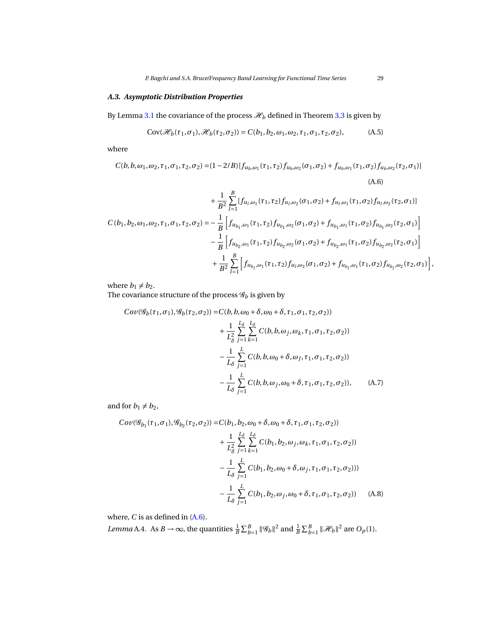# *A.3. Asymptotic Distribution Properties*

By Lemma [3.1](#page-7-1) the covariance of the process  $\mathcal{H}_b$  defined in Theorem [3.3](#page-11-2) is given by

$$
Cov(\mathcal{H}_b(\tau_1, \sigma_1), \mathcal{H}_b(\tau_2, \sigma_2)) = C(b_1, b_2, \omega_1, \omega_2, \tau_1, \sigma_1, \tau_2, \sigma_2), \tag{A.5}
$$

where

$$
C(b, b, \omega_1, \omega_2, \tau_1, \sigma_1, \tau_2, \sigma_2) = (1 - 2/B)[f_{u_b, \omega_1}(\tau_1, \tau_2)f_{u_b, \omega_2}(\sigma_1, \sigma_2) + f_{u_b, \omega_1}(\tau_1, \sigma_2)f_{u_b, \omega_2}(\tau_2, \sigma_1)]
$$
\n(A.6)

$$
+\frac{1}{B^2}\sum_{l=1}^{B}[f_{u_l,\omega_1}(\tau_1,\tau_2)f_{u_l,\omega_2}(\sigma_1,\sigma_2)+f_{u_l,\omega_1}(\tau_1,\sigma_2)f_{u_l,\omega_2}(\tau_2,\sigma_1)]
$$
  
\n
$$
C(b_1,b_2,\omega_1,\omega_2,\tau_1,\sigma_1,\tau_2,\sigma_2)=-\frac{1}{B}\left[f_{u_{b_1},\omega_1}(\tau_1,\tau_2)f_{u_{b_1},\omega_2}(\sigma_1,\sigma_2)+f_{u_{b_1},\omega_1}(\tau_1,\sigma_2)f_{u_{b_1},\omega_2}(\tau_2,\sigma_1)\right]
$$
  
\n
$$
-\frac{1}{B}\left[f_{u_{b_2},\omega_1}(\tau_1,\tau_2)f_{u_{b_2},\omega_2}(\sigma_1,\sigma_2)+f_{u_{b_2},\omega_1}(\tau_1,\sigma_2)f_{u_{b_2},\omega_2}(\tau_2,\sigma_1)\right]
$$
  
\n
$$
+\frac{1}{B^2}\sum_{l=1}^{B}\left[f_{u_{b_l},\omega_1}(\tau_1,\tau_2)f_{u_l,\omega_2}(\sigma_1,\sigma_2)+f_{u_{b_l},\omega_1}(\tau_1,\sigma_2)f_{u_{b_l},\omega_2}(\tau_2,\sigma_1)\right],
$$

where  $b_1 \neq b_2$ .

The covariance structure of the process  $\mathcal{G}_b$  is given by

<span id="page-28-0"></span>
$$
Cov(\mathcal{G}_b(\tau_1, \sigma_1), \mathcal{G}_b(\tau_2, \sigma_2)) = C(b, b, \omega_0 + \delta, \omega_0 + \delta, \tau_1, \sigma_1, \tau_2, \sigma_2))
$$
  
+  $\frac{1}{L_{\delta}^2} \sum_{j=1}^{L_{\delta}} \sum_{k=1}^{L_{\delta}} C(b, b, \omega_j, \omega_k, \tau_1, \sigma_1, \tau_2, \sigma_2))$   
-  $\frac{1}{L_{\delta}} \sum_{j=1}^{L} C(b, b, \omega_0 + \delta, \omega_j, \tau_1, \sigma_1, \tau_2, \sigma_2))$   
-  $\frac{1}{L_{\delta}} \sum_{j=1}^{L} C(b, b, \omega_j, \omega_0 + \delta, \tau_1, \sigma_1, \tau_2, \sigma_2)),$  (A.7)

and for  $b_1 \neq b_2$ ,

<span id="page-28-1"></span>
$$
Cov(\mathcal{G}_{b_1}(\tau_1, \sigma_1), \mathcal{G}_{b_2}(\tau_2, \sigma_2)) = C(b_1, b_2, \omega_0 + \delta, \omega_0 + \delta, \tau_1, \sigma_1, \tau_2, \sigma_2))
$$
  
+ 
$$
\frac{1}{L_{\delta}^2} \sum_{j=1}^{L_{\delta}} \sum_{k=1}^{L_{\delta}} C(b_1, b_2, \omega_j, \omega_k, \tau_1, \sigma_1, \tau_2, \sigma_2))
$$
  
- 
$$
\frac{1}{L_{\delta}} \sum_{j=1}^{L} C(b_1, b_2, \omega_0 + \delta, \omega_j, \tau_1, \sigma_1, \tau_2, \sigma_2)))
$$
  
- 
$$
\frac{1}{L_{\delta}} \sum_{j=1}^{L} C(b_1, b_2, \omega_j, \omega_0 + \delta, \tau_1, \sigma_1, \tau_2, \sigma_2))
$$
 (A.8)

where,  $C$  is as defined in  $(A.6)$ .

<span id="page-28-2"></span>*Lemma* A.4. As  $B \to \infty$ , the quantities  $\frac{1}{B} \sum_{b=1}^{B} ||\mathcal{G}_b||^2$  and  $\frac{1}{B} \sum_{b=1}^{B} ||\mathcal{H}_b||^2$  are  $O_p(1)$ .

<span id="page-28-4"></span><span id="page-28-3"></span>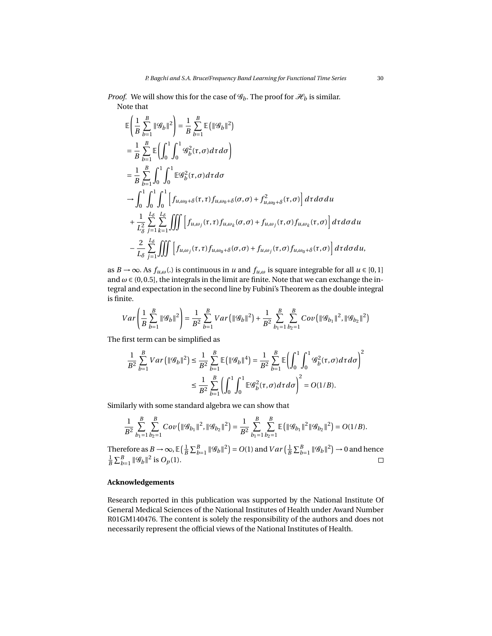$$
\mathbb{E}\left(\frac{1}{B}\sum_{b=1}^{B}||\mathcal{G}_{b}||^{2}\right) = \frac{1}{B}\sum_{b=1}^{B}\mathbb{E}\left(||\mathcal{G}_{b}||^{2}\right)
$$
\n
$$
= \frac{1}{B}\sum_{b=1}^{B}\mathbb{E}\left(\int_{0}^{1}\int_{0}^{1}\mathcal{G}_{b}^{2}(\tau,\sigma)d\tau d\sigma\right)
$$
\n
$$
= \frac{1}{B}\sum_{b=1}^{B}\int_{0}^{1}\int_{0}^{1}\mathbb{E}\mathcal{G}_{b}^{2}(\tau,\sigma)d\tau d\sigma
$$
\n
$$
\rightarrow \int_{0}^{1}\int_{0}^{1}\int_{0}^{1}\int_{0}^{1}\left[f_{u,\omega_{0}+\delta}(\tau,\tau)f_{u,\omega_{0}+\delta}(\sigma,\sigma)+f_{u,\omega_{0}+\delta}^{2}(\tau,\sigma)\right]d\tau d\sigma du
$$
\n
$$
+ \frac{1}{L_{\delta}^{2}}\sum_{j=1}^{L_{\delta}}\sum_{k=1}^{L_{\delta}}\iiint\left[f_{u,\omega_{j}}(\tau,\tau)f_{u,\omega_{k}}(\sigma,\sigma)+f_{u,\omega_{j}}(\tau,\sigma)f_{u,\omega_{k}}(\tau,\sigma)\right]d\tau d\sigma du
$$
\n
$$
- \frac{2}{L_{\delta}}\sum_{j=1}^{L_{\delta}}\iiint\left[f_{u,\omega_{j}}(\tau,\tau)f_{u,\omega_{0}+\delta}(\sigma,\sigma)+f_{u,\omega_{j}}(\tau,\sigma)f_{u,\omega_{0}+\delta}(\tau,\sigma)\right]d\tau d\sigma du,
$$

as *B* → ∞. As  $f_{u,\omega}$ (.) is continuous in *u* and  $f_{u,\omega}$  is square integrable for all  $u \in [0,1]$ and  $\omega \in (0, 0.5]$ , the integrals in the limit are finite. Note that we can exchange the integral and expectation in the second line by Fubini's Theorem as the double integral is finite.

$$
Var\left(\frac{1}{B}\sum_{b=1}^{B}||\mathcal{G}_{b}||^{2}\right) = \frac{1}{B^{2}}\sum_{b=1}^{B}Var\left(||\mathcal{G}_{b}||^{2}\right) + \frac{1}{B^{2}}\sum_{b_{1}=1}^{B}\sum_{b_{2}=1}^{B}Cov\left(||\mathcal{G}_{b_{1}}||^{2}, ||\mathcal{G}_{b_{2}}||^{2}\right)
$$

The first term can be simplified as

$$
\begin{split} \frac{1}{B^2}\sum_{b=1}^{B}Var\left(\|\mathcal{G}_b\|^2\right) &\leq \frac{1}{B^2}\sum_{b=1}^{B}\mathbb{E}\left(\|\mathcal{G}_b\|^4\right) = \frac{1}{B^2}\sum_{b=1}^{B}\mathbb{E}\left(\int_0^1\int_0^1\mathcal{G}_b^2(\tau,\sigma)d\tau d\sigma\right)^2\\ &\leq \frac{1}{B^2}\sum_{b=1}^{B}\left(\int_0^1\int_0^1\mathbb{E}\mathcal{G}_b^2(\tau,\sigma)d\tau d\sigma\right)^2 = O(1/B). \end{split}
$$

Similarly with some standard algebra we can show that

$$
\frac{1}{B^2}\sum_{b_1=1}^B\sum_{b_2=1}^B Cov\left(\|\mathscr{G}_{b_1}\|^2, \|\mathscr{G}_{b_2}\|^2\right)=\frac{1}{B^2}\sum_{b_1=1}^B\sum_{b_2=1}^B \mathbb{E}\left(\|\mathscr{G}_{b_1}\|^2\|\mathscr{G}_{b_2}\|^2\right)=O(1/B).
$$

Therefore as  $B \to \infty$ ,  $\mathbb{E} \left( \frac{1}{B} \sum_{b=1}^{B} ||\mathcal{G}_b||^2 \right) = O(1)$  and  $Var \left( \frac{1}{B} \sum_{b=1}^{B} ||\mathcal{G}_b||^2 \right) \to 0$  and hence  $\frac{1}{B} \sum_{b=1}^{B} ||\mathcal{G}_b||^2$  is  $O_p(1)$ .  $\Box$ 

# **Acknowledgements**

Research reported in this publication was supported by the National Institute Of General Medical Sciences of the National Institutes of Health under Award Number R01GM140476. The content is solely the responsibility of the authors and does not necessarily represent the official views of the National Institutes of Health.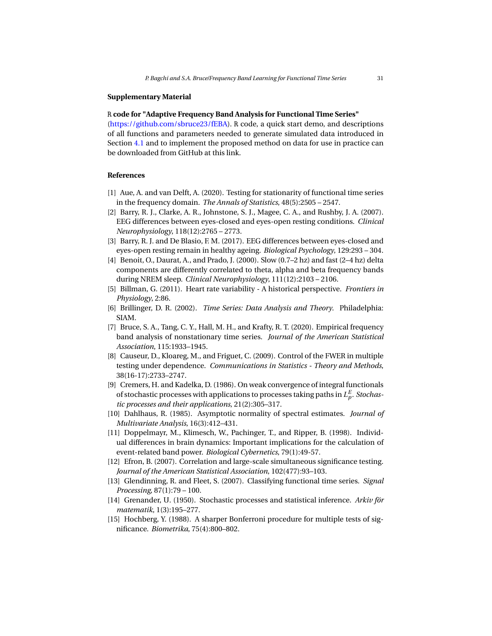#### **Supplementary Material**

#### R **code for "Adaptive Frequency Band Analysis for Functional Time Series"**

[\(https://github.com/sbruce23/fEBA\)](https://github.com/sbruce23/fEBA). R code, a quick start demo, and descriptions of all functions and parameters needed to generate simulated data introduced in Section [4.1](#page-11-1) and to implement the proposed method on data for use in practice can be downloaded from GitHub at this link.

# **References**

- <span id="page-30-5"></span>[1] Aue, A. and van Delft, A. (2020). Testing for stationarity of functional time series in the frequency domain. *The Annals of Statistics*, 48(5):2505 – 2547.
- <span id="page-30-9"></span>[2] Barry, R. J., Clarke, A. R., Johnstone, S. J., Magee, C. A., and Rushby, J. A. (2007). EEG differences between eyes-closed and eyes-open resting conditions. *Clinical Neurophysiology*, 118(12):2765 – 2773.
- <span id="page-30-10"></span>[3] Barry, R. J. and De Blasio, F. M. (2017). EEG differences between eyes-closed and eyes-open resting remain in healthy ageing. *Biological Psychology*, 129:293 – 304.
- <span id="page-30-11"></span>[4] Benoit, O., Daurat, A., and Prado, J. (2000). Slow (0.7–2 hz) and fast (2–4 hz) delta components are differently correlated to theta, alpha and beta frequency bands during NREM sleep. *Clinical Neurophysiology*, 111(12):2103 – 2106.
- <span id="page-30-2"></span>[5] Billman, G. (2011). Heart rate variability - A historical perspective. *Frontiers in Physiology*, 2:86.
- <span id="page-30-13"></span>[6] Brillinger, D. R. (2002). *Time Series: Data Analysis and Theory*. Philadelphia: SIAM.
- <span id="page-30-4"></span>[7] Bruce, S. A., Tang, C. Y., Hall, M. H., and Krafty, R. T. (2020). Empirical frequency band analysis of nonstationary time series. *Journal of the American Statistical Association*, 115:1933–1945.
- <span id="page-30-8"></span>[8] Causeur, D., Kloareg, M., and Friguet, C. (2009). Control of the FWER in multiple testing under dependence. *Communications in Statistics - Theory and Methods*, 38(16-17):2733–2747.
- <span id="page-30-14"></span>[9] Cremers, H. and Kadelka, D. (1986). On weak convergence of integral functionals of stochastic processes with applications to processes taking paths in  $L^E_p$ *. Stochastic processes and their applications*, 21(2):305–317.
- <span id="page-30-12"></span>[10] Dahlhaus, R. (1985). Asymptotic normality of spectral estimates. *Journal of Multivariate Analysis*, 16(3):412–431.
- <span id="page-30-3"></span>[11] Doppelmayr, M., Klimesch, W., Pachinger, T., and Ripper, B. (1998). Individual differences in brain dynamics: Important implications for the calculation of event-related band power. *Biological Cybernetics*, 79(1):49-57.
- <span id="page-30-7"></span>[12] Efron, B. (2007). Correlation and large-scale simultaneous significance testing. *Journal of the American Statistical Association*, 102(477):93–103.
- <span id="page-30-1"></span>[13] Glendinning, R. and Fleet, S. (2007). Classifying functional time series. *Signal Processing*, 87(1):79 – 100.
- <span id="page-30-0"></span>[14] Grenander, U. (1950). Stochastic processes and statistical inference. *Arkiv för matematik*, 1(3):195–277.
- <span id="page-30-6"></span>[15] Hochberg, Y. (1988). A sharper Bonferroni procedure for multiple tests of significance. *Biometrika*, 75(4):800–802.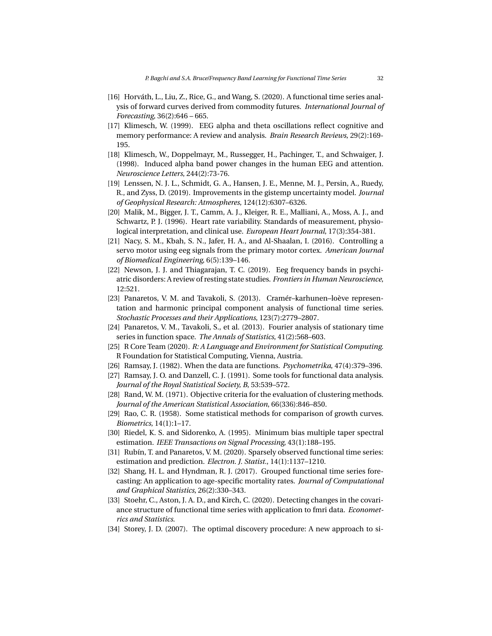- <span id="page-31-3"></span>[16] Horváth, L., Liu, Z., Rice, G., and Wang, S. (2020). A functional time series analysis of forward curves derived from commodity futures. *International Journal of Forecasting*, 36(2):646 – 665.
- <span id="page-31-8"></span>[17] Klimesch, W. (1999). EEG alpha and theta oscillations reflect cognitive and memory performance: A review and analysis. *Brain Research Reviews*, 29(2):169- 195.
- <span id="page-31-10"></span>[18] Klimesch, W., Doppelmayr, M., Russegger, H., Pachinger, T., and Schwaiger, J. (1998). Induced alpha band power changes in the human EEG and attention. *Neuroscience Letters*, 244(2):73-76.
- <span id="page-31-7"></span>[19] Lenssen, N. J. L., Schmidt, G. A., Hansen, J. E., Menne, M. J., Persin, A., Ruedy, R., and Zyss, D. (2019). Improvements in the gistemp uncertainty model. *Journal of Geophysical Research: Atmospheres*, 124(12):6307–6326.
- <span id="page-31-9"></span>[20] Malik, M., Bigger, J. T., Camm, A. J., Kleiger, R. E., Malliani, A., Moss, A. J., and Schwartz, P. J. (1996). Heart rate variability. Standards of measurement, physiological interpretation, and clinical use. *European Heart Journal*, 17(3):354-381.
- <span id="page-31-18"></span>[21] Nacy, S. M., Kbah, S. N., Jafer, H. A., and Al-Shaalan, I. (2016). Controlling a servo motor using eeg signals from the primary motor cortex. *American Journal of Biomedical Engineering*, 6(5):139–146.
- <span id="page-31-17"></span>[22] Newson, J. J. and Thiagarajan, T. C. (2019). Eeg frequency bands in psychiatric disorders: A review of resting state studies. *Frontiers in Human Neuroscience*, 12:521.
- <span id="page-31-11"></span>[23] Panaretos, V. M. and Tavakoli, S. (2013). Cramér–karhunen–loève representation and harmonic principal component analysis of functional time series. *Stochastic Processes and their Applications*, 123(7):2779–2807.
- <span id="page-31-12"></span>[24] Panaretos, V. M., Tavakoli, S., et al. (2013). Fourier analysis of stationary time series in function space. *The Annals of Statistics*, 41(2):568–603.
- <span id="page-31-14"></span>[25] R Core Team (2020). *R: A Language and Environment for Statistical Computing*. R Foundation for Statistical Computing, Vienna, Austria.
- <span id="page-31-0"></span>[26] Ramsay, J. (1982). When the data are functions. *Psychometrika*, 47(4):379–396.
- <span id="page-31-1"></span>[27] Ramsay, J. O. and Danzell, C. J. (1991). Some tools for functional data analysis. *Journal of the Royal Statistical Society, B*, 53:539–572.
- <span id="page-31-15"></span>[28] Rand, W. M. (1971). Objective criteria for the evaluation of clustering methods. *Journal of the American Statistical Association*, 66(336):846–850.
- <span id="page-31-2"></span>[29] Rao, C. R. (1958). Some statistical methods for comparison of growth curves. *Biometrics*, 14(1):1–17.
- <span id="page-31-13"></span>[30] Riedel, K. S. and Sidorenko, A. (1995). Minimum bias multiple taper spectral estimation. *IEEE Transactions on Signal Processing*, 43(1):188–195.
- <span id="page-31-4"></span>[31] Rubín, T. and Panaretos, V. M. (2020). Sparsely observed functional time series: estimation and prediction. *Electron. J. Statist.*, 14(1):1137–1210.
- <span id="page-31-5"></span>[32] Shang, H. L. and Hyndman, R. J. (2017). Grouped functional time series forecasting: An application to age-specific mortality rates. *Journal of Computational and Graphical Statistics*, 26(2):330–343.
- <span id="page-31-6"></span>[33] Stoehr, C., Aston, J. A. D., and Kirch, C. (2020). Detecting changes in the covariance structure of functional time series with application to fmri data. *Econometrics and Statistics*.
- <span id="page-31-16"></span>[34] Storey, J. D. (2007). The optimal discovery procedure: A new approach to si-